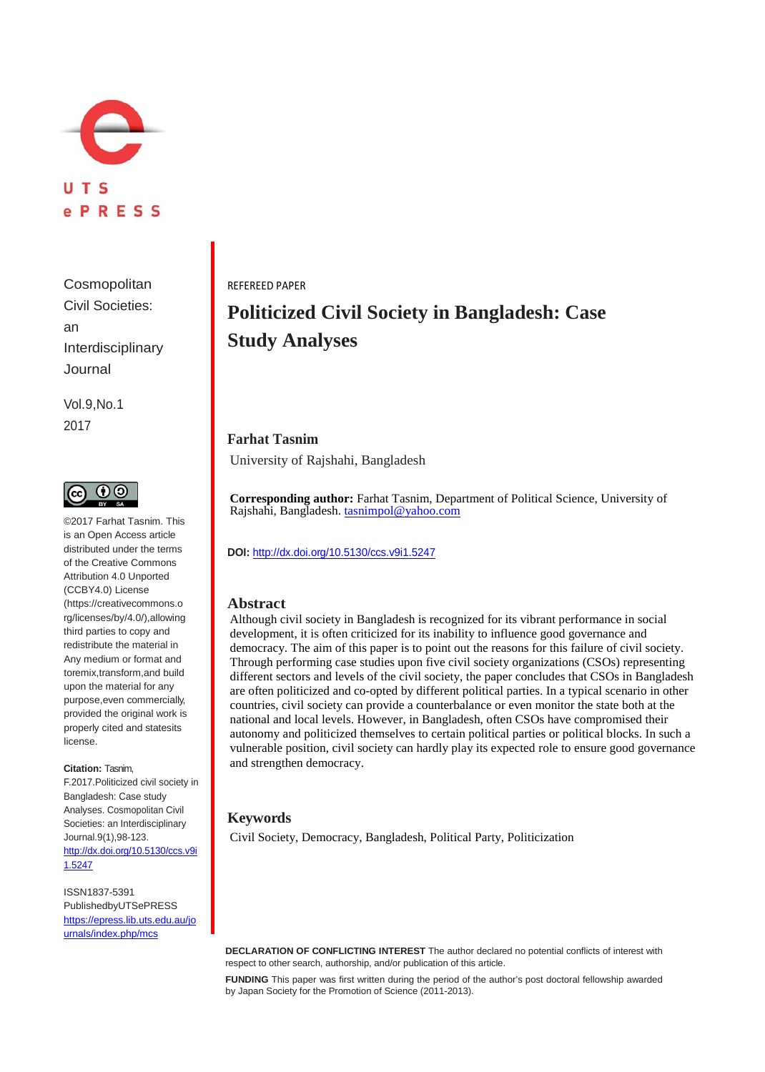

**Cosmopolitan** Civil Societies: an Interdisciplinary Journal

Vol.9,No.1 2017



©2017 Farhat Tasnim. This is an Open Access article distributed under the terms of the Creative Commons Attribution 4.0 Unported (CCBY4.0) License (https://creativecommons.o rg/licenses/by/4.0/),allowing third parties to copy and redistribute the material in Any medium or format and toremix,transform,and build upon the material for any purpose,even commercially, provided the original work is properly cited and statesits license.

**Citation:** Tasnim,

F.2017.Politicized civil society in Bangladesh: Case study Analyses. Cosmopolitan Civil Societies: an Interdisciplinary Journal.9(1),98-123. [http://dx.doi.org/10.5130/ccs.v9i](http://dx.doi.org/10.5130/ccs.v9i1.5247) [1.5247](http://dx.doi.org/10.5130/ccs.v9i1.5247)

ISSN1837-5391 PublishedbyUTSePRESS [https://epress.lib.uts.edu.au/jo](https://epress.lib.uts.edu.au/journals/index.php/mcs) [urnals/index.php/mcs](https://epress.lib.uts.edu.au/journals/index.php/mcs)

## REFEREED PAPER

# **Politicized Civil Society in Bangladesh: Case Study Analyses**

# **Farhat Tasnim**

University of Rajshahi, Bangladesh

**Corresponding author:** Farhat Tasnim, Department of Political Science, University of Rajshahi, Bangladesh. [tasnimpol@yahoo.com](mailto:tasnimpol@yahoo.com)

#### **DOI:** http://dx.doi.org/10.5130/ccs.v9i1.5247

#### **Abstract**

Although civil society in Bangladesh is recognized for its vibrant performance in social development, it is often criticized for its inability to influence good governance and democracy. The aim of this paper is to point out the reasons for this failure of civil society. Through performing case studies upon five civil society organizations (CSOs) representing different sectors and levels of the civil society, the paper concludes that CSOs in Bangladesh are often politicized and co-opted by different political parties. In a typical scenario in other countries, civil society can provide a counterbalance or even monitor the state both at the national and local levels. However, in Bangladesh, often CSOs have compromised their autonomy and politicized themselves to certain political parties or political blocks. In such a vulnerable position, civil society can hardly play its expected role to ensure good governance and strengthen democracy.

# **Keywords**

Civil Society, Democracy, Bangladesh, Political Party, Politicization

**DECLARATION OF CONFLICTING INTEREST** The author declared no potential conflicts of interest with respect to other search, authorship, and/or publication of this article.

**FUNDING** This paper was first written during the period of the author's post doctoral fellowship awarded by Japan Society for the Promotion of Science (2011-2013).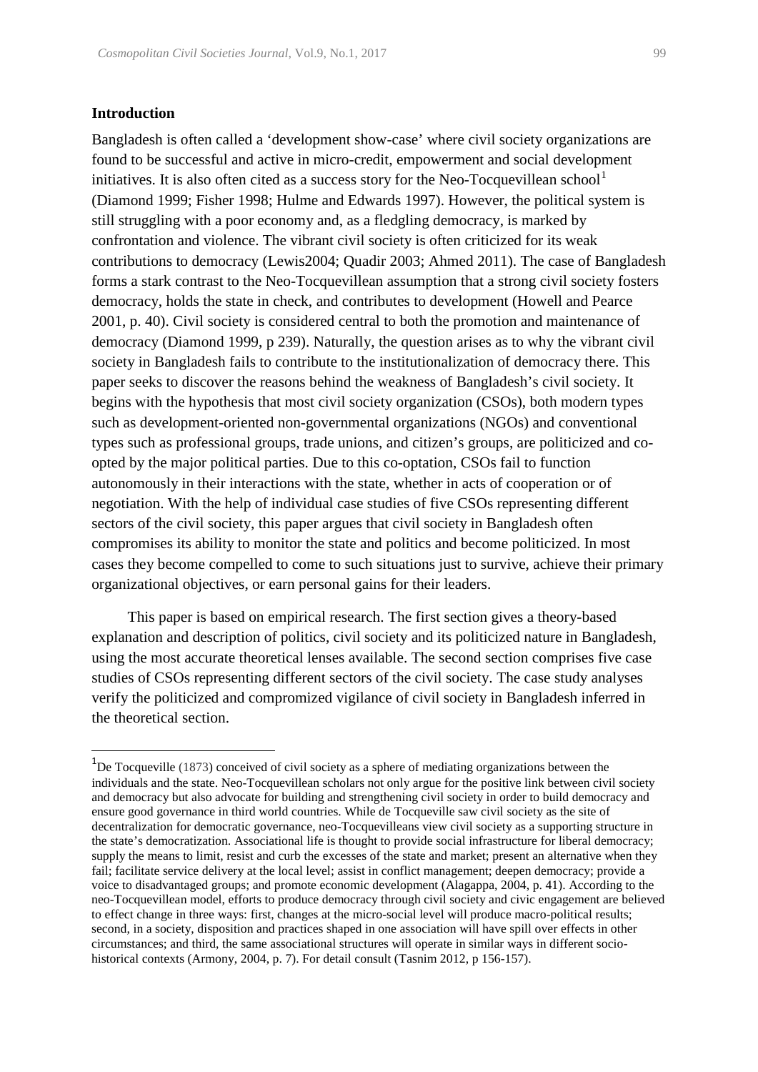#### **Introduction**

Bangladesh is often called a 'development show-case' where civil society organizations are found to be successful and active in micro-credit, empowerment and social development initiatives. It is also often cited as a success story for the Neo-Tocquevillean school<sup>[1](#page-1-0)</sup> (Diamond 1999; Fisher 1998; Hulme and Edwards 1997). However, the political system is still struggling with a poor economy and, as a fledgling democracy, is marked by confrontation and violence. The vibrant civil society is often criticized for its weak contributions to democracy (Lewis2004; Quadir 2003; Ahmed 2011). The case of Bangladesh forms a stark contrast to the Neo-Tocquevillean assumption that a strong civil society fosters democracy, holds the state in check, and contributes to development (Howell and Pearce 2001, p. 40). Civil society is considered central to both the promotion and maintenance of democracy (Diamond 1999, p 239). Naturally, the question arises as to why the vibrant civil society in Bangladesh fails to contribute to the institutionalization of democracy there. This paper seeks to discover the reasons behind the weakness of Bangladesh's civil society. It begins with the hypothesis that most civil society organization (CSOs), both modern types such as development-oriented non-governmental organizations (NGOs) and conventional types such as professional groups, trade unions, and citizen's groups, are politicized and coopted by the major political parties. Due to this co-optation, CSOs fail to function autonomously in their interactions with the state, whether in acts of cooperation or of negotiation. With the help of individual case studies of five CSOs representing different sectors of the civil society, this paper argues that civil society in Bangladesh often compromises its ability to monitor the state and politics and become politicized. In most cases they become compelled to come to such situations just to survive, achieve their primary organizational objectives, or earn personal gains for their leaders.

This paper is based on empirical research. The first section gives a theory-based explanation and description of politics, civil society and its politicized nature in Bangladesh, using the most accurate theoretical lenses available. The second section comprises five case studies of CSOs representing different sectors of the civil society. The case study analyses verify the politicized and compromized vigilance of civil society in Bangladesh inferred in the theoretical section.

<span id="page-1-0"></span>The Tocqueville (1873) conceived of civil society as a sphere of mediating organizations between the individuals and the state. Neo-Tocquevillean scholars not only argue for the positive link between civil society and democracy but also advocate for building and strengthening civil society in order to build democracy and ensure good governance in third world countries. While de Tocqueville saw civil society as the site of decentralization for democratic governance, neo-Tocquevilleans view civil society as a supporting structure in the state's democratization. Associational life is thought to provide social infrastructure for liberal democracy; supply the means to limit, resist and curb the excesses of the state and market; present an alternative when they fail; facilitate service delivery at the local level; assist in conflict management; deepen democracy; provide a voice to disadvantaged groups; and promote economic development (Alagappa, 2004, p. 41). According to the neo-Tocquevillean model, efforts to produce democracy through civil society and civic engagement are believed to effect change in three ways: first, changes at the micro-social level will produce macro-political results; second, in a society, disposition and practices shaped in one association will have spill over effects in other circumstances; and third, the same associational structures will operate in similar ways in different sociohistorical contexts (Armony, 2004, p. 7). For detail consult (Tasnim 2012, p 156-157).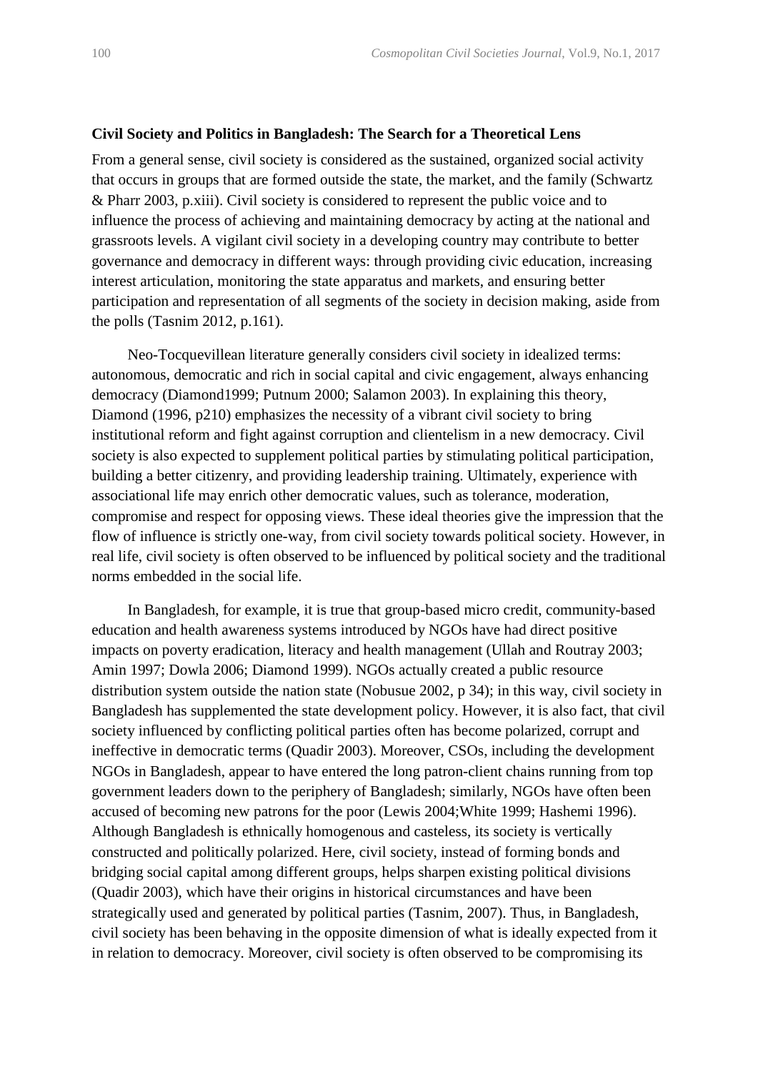#### **Civil Society and Politics in Bangladesh: The Search for a Theoretical Lens**

From a general sense, civil society is considered as the sustained, organized social activity that occurs in groups that are formed outside the state, the market, and the family (Schwartz & Pharr 2003, p.xiii). Civil society is considered to represent the public voice and to influence the process of achieving and maintaining democracy by acting at the national and grassroots levels. A vigilant civil society in a developing country may contribute to better governance and democracy in different ways: through providing civic education, increasing interest articulation, monitoring the state apparatus and markets, and ensuring better participation and representation of all segments of the society in decision making, aside from the polls (Tasnim 2012, p.161).

Neo-Tocquevillean literature generally considers civil society in idealized terms: autonomous, democratic and rich in social capital and civic engagement, always enhancing democracy (Diamond1999; Putnum 2000; Salamon 2003). In explaining this theory, Diamond (1996, p210) emphasizes the necessity of a vibrant civil society to bring institutional reform and fight against corruption and clientelism in a new democracy. Civil society is also expected to supplement political parties by stimulating political participation, building a better citizenry, and providing leadership training. Ultimately, experience with associational life may enrich other democratic values, such as tolerance, moderation, compromise and respect for opposing views. These ideal theories give the impression that the flow of influence is strictly one-way, from civil society towards political society. However, in real life, civil society is often observed to be influenced by political society and the traditional norms embedded in the social life.

In Bangladesh, for example, it is true that group-based micro credit, community-based education and health awareness systems introduced by NGOs have had direct positive impacts on poverty eradication, literacy and health management (Ullah and Routray 2003; Amin 1997; Dowla 2006; Diamond 1999). NGOs actually created a public resource distribution system outside the nation state (Nobusue 2002, p 34); in this way, civil society in Bangladesh has supplemented the state development policy. However, it is also fact, that civil society influenced by conflicting political parties often has become polarized, corrupt and ineffective in democratic terms (Quadir 2003). Moreover, CSOs, including the development NGOs in Bangladesh, appear to have entered the long patron-client chains running from top government leaders down to the periphery of Bangladesh; similarly, NGOs have often been accused of becoming new patrons for the poor (Lewis 2004;White 1999; Hashemi 1996). Although Bangladesh is ethnically homogenous and casteless, its society is vertically constructed and politically polarized. Here, civil society, instead of forming bonds and bridging social capital among different groups, helps sharpen existing political divisions (Quadir 2003), which have their origins in historical circumstances and have been strategically used and generated by political parties (Tasnim*,* 2007). Thus, in Bangladesh, civil society has been behaving in the opposite dimension of what is ideally expected from it in relation to democracy. Moreover, civil society is often observed to be compromising its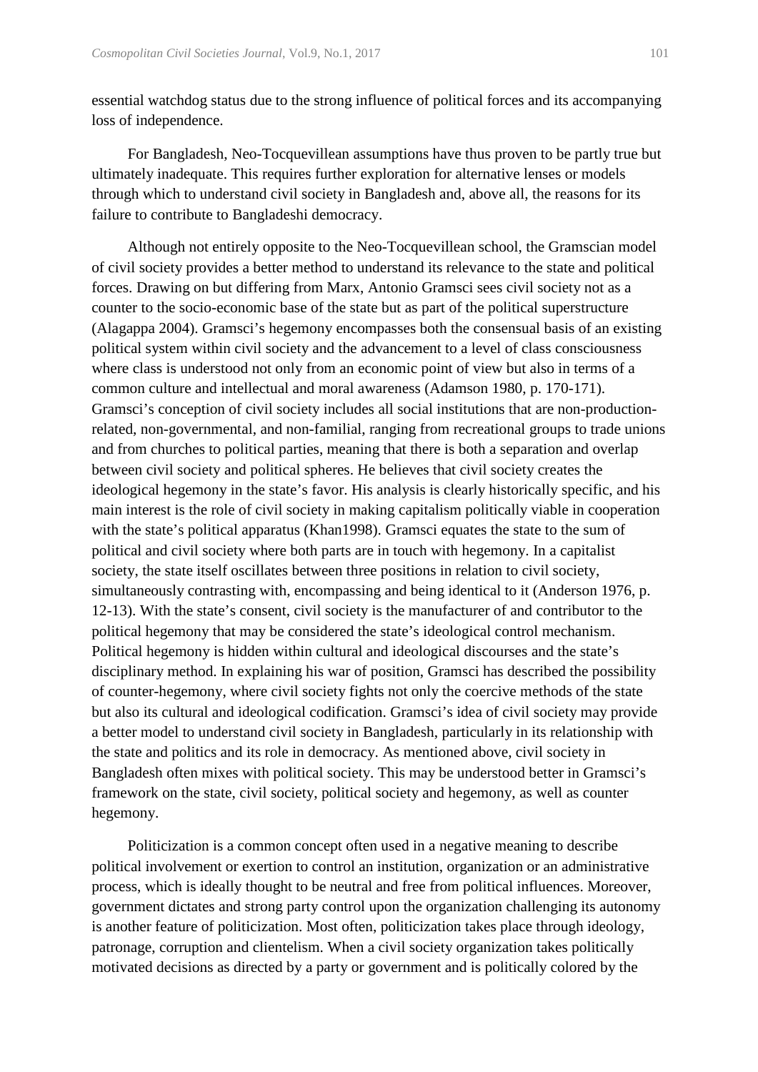essential watchdog status due to the strong influence of political forces and its accompanying loss of independence.

For Bangladesh, Neo-Tocquevillean assumptions have thus proven to be partly true but ultimately inadequate. This requires further exploration for alternative lenses or models through which to understand civil society in Bangladesh and, above all, the reasons for its failure to contribute to Bangladeshi democracy.

Although not entirely opposite to the Neo-Tocquevillean school, the Gramscian model of civil society provides a better method to understand its relevance to the state and political forces. Drawing on but differing from Marx, Antonio Gramsci sees civil society not as a counter to the socio-economic base of the state but as part of the political superstructure (Alagappa 2004). Gramsci's hegemony encompasses both the consensual basis of an existing political system within civil society and the advancement to a level of class consciousness where class is understood not only from an economic point of view but also in terms of a common culture and intellectual and moral awareness (Adamson 1980, p. 170-171). Gramsci's conception of civil society includes all social institutions that are non-productionrelated, non-governmental, and non-familial, ranging from recreational groups to trade unions and from churches to political parties, meaning that there is both a separation and overlap between civil society and political spheres. He believes that civil society creates the ideological hegemony in the state's favor. His analysis is clearly historically specific, and his main interest is the role of civil society in making capitalism politically viable in cooperation with the state's political apparatus (Khan1998). Gramsci equates the state to the sum of political and civil society where both parts are in touch with hegemony. In a capitalist society, the state itself oscillates between three positions in relation to civil society, simultaneously contrasting with, encompassing and being identical to it (Anderson 1976, p. 12-13). With the state's consent, civil society is the manufacturer of and contributor to the political hegemony that may be considered the state's ideological control mechanism. Political hegemony is hidden within cultural and ideological discourses and the state's disciplinary method. In explaining his war of position, Gramsci has described the possibility of counter-hegemony, where civil society fights not only the coercive methods of the state but also its cultural and ideological codification. Gramsci's idea of civil society may provide a better model to understand civil society in Bangladesh, particularly in its relationship with the state and politics and its role in democracy. As mentioned above, civil society in Bangladesh often mixes with political society. This may be understood better in Gramsci's framework on the state, civil society, political society and hegemony, as well as counter hegemony.

Politicization is a common concept often used in a negative meaning to describe political involvement or exertion to control an institution, organization or an administrative process, which is ideally thought to be neutral and free from political influences. Moreover, government dictates and strong party control upon the organization challenging its autonomy is another feature of politicization. Most often, politicization takes place through ideology, patronage, corruption and clientelism. When a civil society organization takes politically motivated decisions as directed by a party or government and is politically colored by the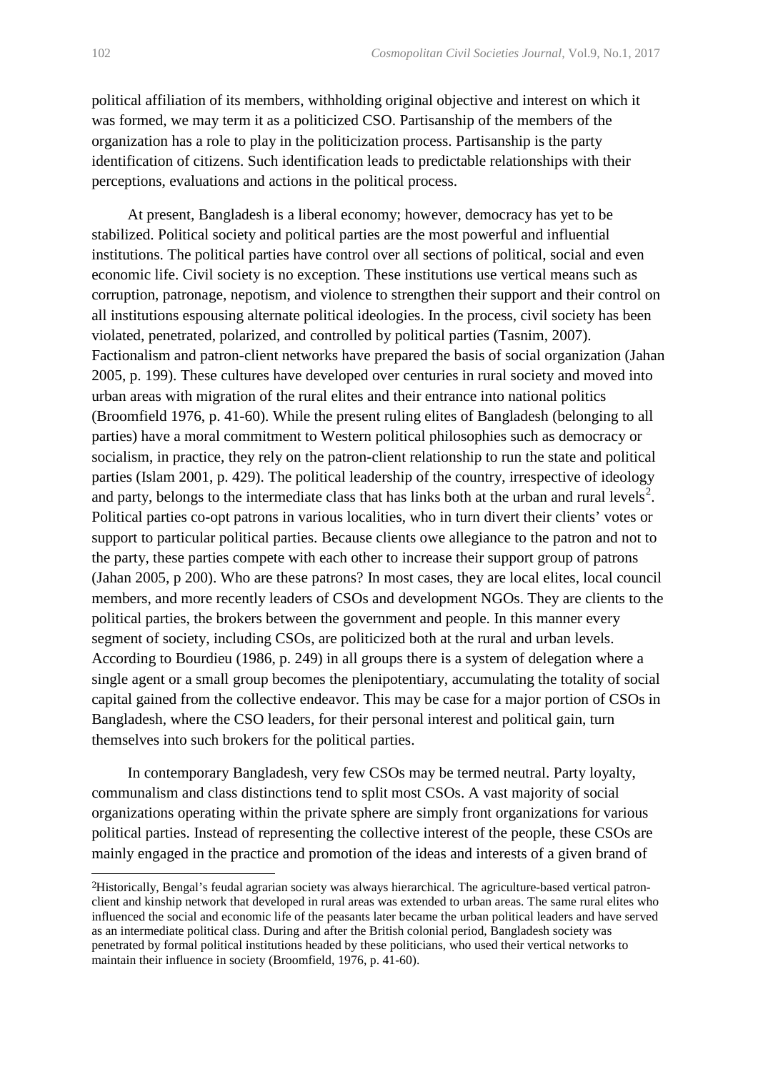political affiliation of its members, withholding original objective and interest on which it was formed, we may term it as a politicized CSO. Partisanship of the members of the organization has a role to play in the politicization process. Partisanship is the party identification of citizens. Such identification leads to predictable relationships with their perceptions, evaluations and actions in the political process.

At present, Bangladesh is a liberal economy; however, democracy has yet to be stabilized. Political society and political parties are the most powerful and influential institutions. The political parties have control over all sections of political, social and even economic life. Civil society is no exception. These institutions use vertical means such as corruption, patronage, nepotism, and violence to strengthen their support and their control on all institutions espousing alternate political ideologies. In the process, civil society has been violated, penetrated, polarized, and controlled by political parties (Tasnim, 2007). Factionalism and patron-client networks have prepared the basis of social organization (Jahan 2005, p. 199). These cultures have developed over centuries in rural society and moved into urban areas with migration of the rural elites and their entrance into national politics (Broomfield 1976, p. 41-60). While the present ruling elites of Bangladesh (belonging to all parties) have a moral commitment to Western political philosophies such as democracy or socialism, in practice, they rely on the patron-client relationship to run the state and political parties (Islam 2001, p. 429). The political leadership of the country, irrespective of ideology and party, belongs to the intermediate class that has links both at the urban and rural levels<sup>[2](#page-4-0)</sup>. Political parties co-opt patrons in various localities, who in turn divert their clients' votes or support to particular political parties. Because clients owe allegiance to the patron and not to the party, these parties compete with each other to increase their support group of patrons (Jahan 2005, p 200). Who are these patrons? In most cases, they are local elites, local council members, and more recently leaders of CSOs and development NGOs. They are clients to the political parties, the brokers between the government and people. In this manner every segment of society, including CSOs, are politicized both at the rural and urban levels. According to Bourdieu (1986, p. 249) in all groups there is a system of delegation where a single agent or a small group becomes the plenipotentiary, accumulating the totality of social capital gained from the collective endeavor. This may be case for a major portion of CSOs in Bangladesh, where the CSO leaders, for their personal interest and political gain, turn themselves into such brokers for the political parties.

In contemporary Bangladesh, very few CSOs may be termed neutral. Party loyalty, communalism and class distinctions tend to split most CSOs. A vast majority of social organizations operating within the private sphere are simply front organizations for various political parties. Instead of representing the collective interest of the people, these CSOs are mainly engaged in the practice and promotion of the ideas and interests of a given brand of

<span id="page-4-0"></span> <sup>2</sup>Historically, Bengal's feudal agrarian society was always hierarchical. The agriculture-based vertical patronclient and kinship network that developed in rural areas was extended to urban areas. The same rural elites who influenced the social and economic life of the peasants later became the urban political leaders and have served as an intermediate political class. During and after the British colonial period, Bangladesh society was penetrated by formal political institutions headed by these politicians, who used their vertical networks to maintain their influence in society (Broomfield, 1976, p. 41-60).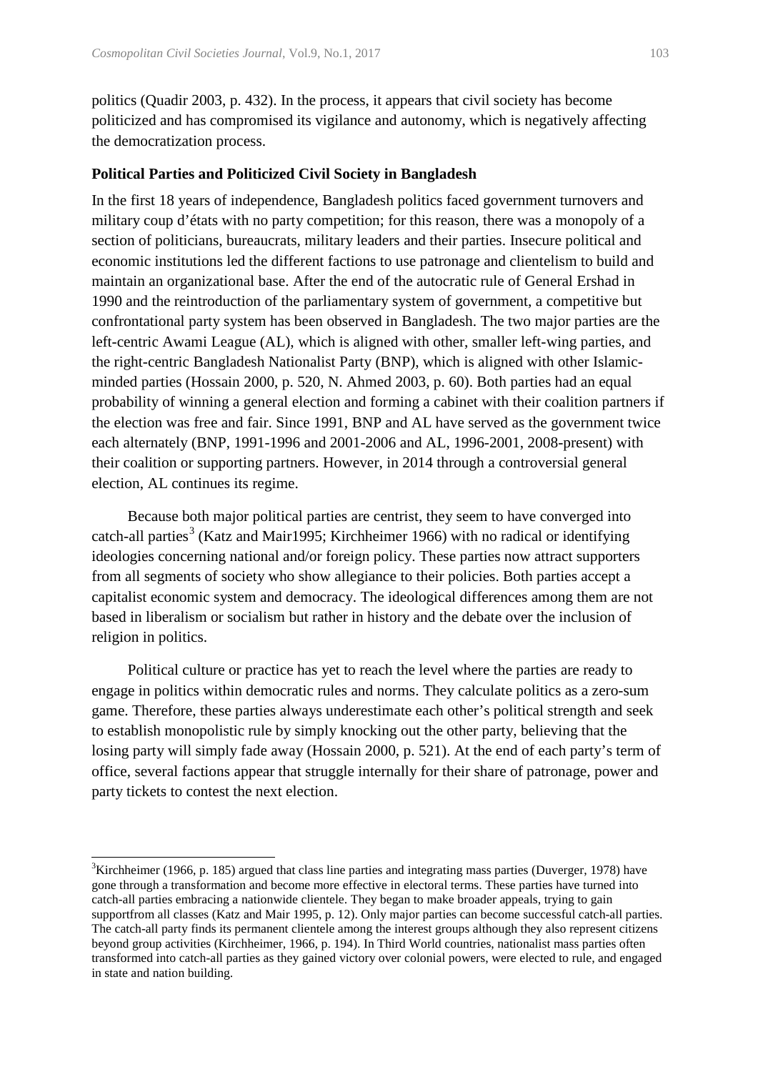politics (Quadir 2003, p. 432). In the process, it appears that civil society has become politicized and has compromised its vigilance and autonomy, which is negatively affecting the democratization process.

#### **Political Parties and Politicized Civil Society in Bangladesh**

In the first 18 years of independence, Bangladesh politics faced government turnovers and military coup d'états with no party competition; for this reason, there was a monopoly of a section of politicians, bureaucrats, military leaders and their parties. Insecure political and economic institutions led the different factions to use patronage and clientelism to build and maintain an organizational base. After the end of the autocratic rule of General Ershad in 1990 and the reintroduction of the parliamentary system of government, a competitive but confrontational party system has been observed in Bangladesh. The two major parties are the left-centric Awami League (AL), which is aligned with other, smaller left-wing parties, and the right-centric Bangladesh Nationalist Party (BNP), which is aligned with other Islamicminded parties (Hossain 2000, p. 520, N. Ahmed 2003, p. 60). Both parties had an equal probability of winning a general election and forming a cabinet with their coalition partners if the election was free and fair. Since 1991, BNP and AL have served as the government twice each alternately (BNP, 1991-1996 and 2001-2006 and AL, 1996-2001, 2008-present) with their coalition or supporting partners. However, in 2014 through a controversial general election, AL continues its regime.

Because both major political parties are centrist, they seem to have converged into catch-all parties<sup>[3](#page-5-0)</sup> (Katz and Mair1995; Kirchheimer 1966) with no radical or identifying ideologies concerning national and/or foreign policy. These parties now attract supporters from all segments of society who show allegiance to their policies. Both parties accept a capitalist economic system and democracy. The ideological differences among them are not based in liberalism or socialism but rather in history and the debate over the inclusion of religion in politics.

Political culture or practice has yet to reach the level where the parties are ready to engage in politics within democratic rules and norms. They calculate politics as a zero-sum game. Therefore, these parties always underestimate each other's political strength and seek to establish monopolistic rule by simply knocking out the other party, believing that the losing party will simply fade away (Hossain 2000, p. 521). At the end of each party's term of office, several factions appear that struggle internally for their share of patronage, power and party tickets to contest the next election.

<span id="page-5-0"></span>3 Kirchheimer (1966, p. 185) argued that class line parties and integrating mass parties (Duverger, 1978) have gone through a transformation and become more effective in electoral terms. These parties have turned into catch-all parties embracing a nationwide clientele. They began to make broader appeals, trying to gain supportfrom all classes (Katz and Mair 1995, p. 12). Only major parties can become successful catch-all parties. The catch-all party finds its permanent clientele among the interest groups although they also represent citizens beyond group activities (Kirchheimer, 1966, p. 194). In Third World countries, nationalist mass parties often transformed into catch-all parties as they gained victory over colonial powers, were elected to rule, and engaged in state and nation building.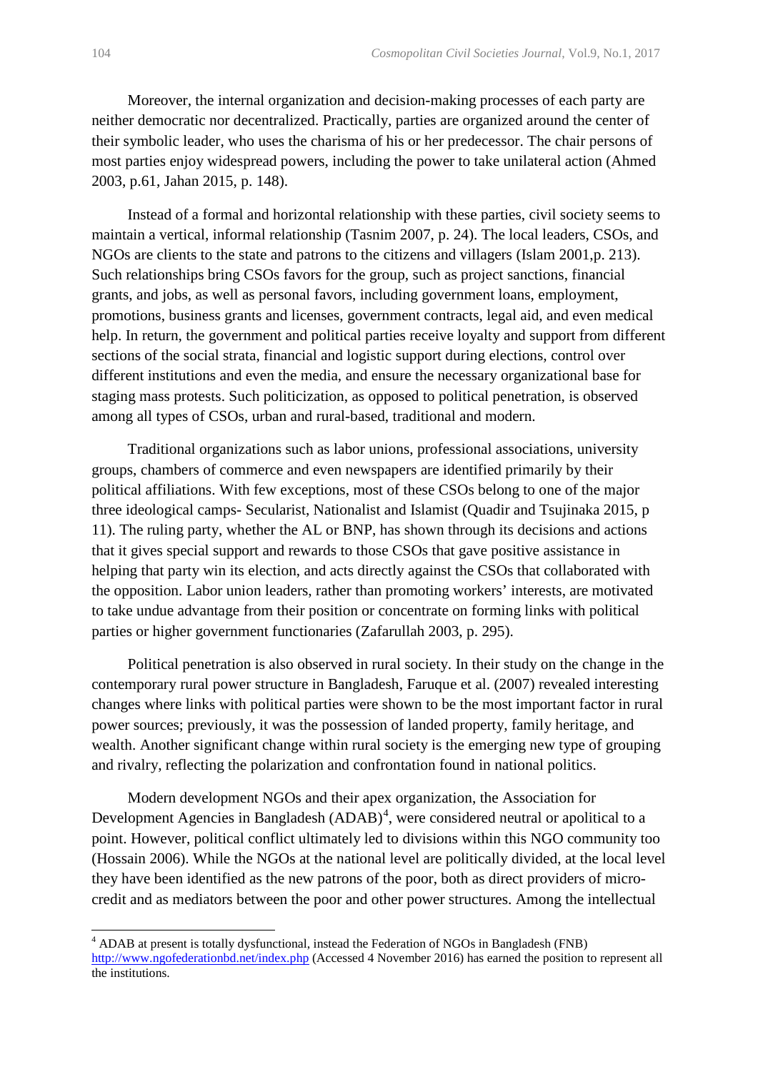Moreover, the internal organization and decision-making processes of each party are neither democratic nor decentralized. Practically, parties are organized around the center of their symbolic leader, who uses the charisma of his or her predecessor. The chair persons of most parties enjoy widespread powers, including the power to take unilateral action (Ahmed 2003, p.61, Jahan 2015, p. 148).

Instead of a formal and horizontal relationship with these parties, civil society seems to maintain a vertical, informal relationship (Tasnim 2007, p. 24). The local leaders, CSOs, and NGOs are clients to the state and patrons to the citizens and villagers (Islam 2001,p. 213). Such relationships bring CSOs favors for the group, such as project sanctions, financial grants, and jobs, as well as personal favors, including government loans, employment, promotions, business grants and licenses, government contracts, legal aid, and even medical help. In return, the government and political parties receive loyalty and support from different sections of the social strata, financial and logistic support during elections, control over different institutions and even the media, and ensure the necessary organizational base for staging mass protests. Such politicization, as opposed to political penetration, is observed among all types of CSOs, urban and rural-based, traditional and modern.

Traditional organizations such as labor unions, professional associations, university groups, chambers of commerce and even newspapers are identified primarily by their political affiliations. With few exceptions, most of these CSOs belong to one of the major three ideological camps- Secularist, Nationalist and Islamist (Quadir and Tsujinaka 2015, p 11). The ruling party, whether the AL or BNP, has shown through its decisions and actions that it gives special support and rewards to those CSOs that gave positive assistance in helping that party win its election, and acts directly against the CSOs that collaborated with the opposition. Labor union leaders, rather than promoting workers' interests, are motivated to take undue advantage from their position or concentrate on forming links with political parties or higher government functionaries (Zafarullah 2003, p. 295).

Political penetration is also observed in rural society. In their study on the change in the contemporary rural power structure in Bangladesh, Faruque et al. (2007) revealed interesting changes where links with political parties were shown to be the most important factor in rural power sources; previously, it was the possession of landed property, family heritage, and wealth. Another significant change within rural society is the emerging new type of grouping and rivalry, reflecting the polarization and confrontation found in national politics.

Modern development NGOs and their apex organization, the Association for Development Agencies in Bangladesh  $(ADAB)^4$  $(ADAB)^4$ , were considered neutral or apolitical to a point. However, political conflict ultimately led to divisions within this NGO community too (Hossain 2006). While the NGOs at the national level are politically divided, at the local level they have been identified as the new patrons of the poor, both as direct providers of microcredit and as mediators between the poor and other power structures. Among the intellectual

<span id="page-6-0"></span><sup>4</sup> ADAB at present is totally dysfunctional, instead the Federation of NGOs in Bangladesh (FNB) <http://www.ngofederationbd.net/index.php> (Accessed 4 November 2016) has earned the position to represent all the institutions.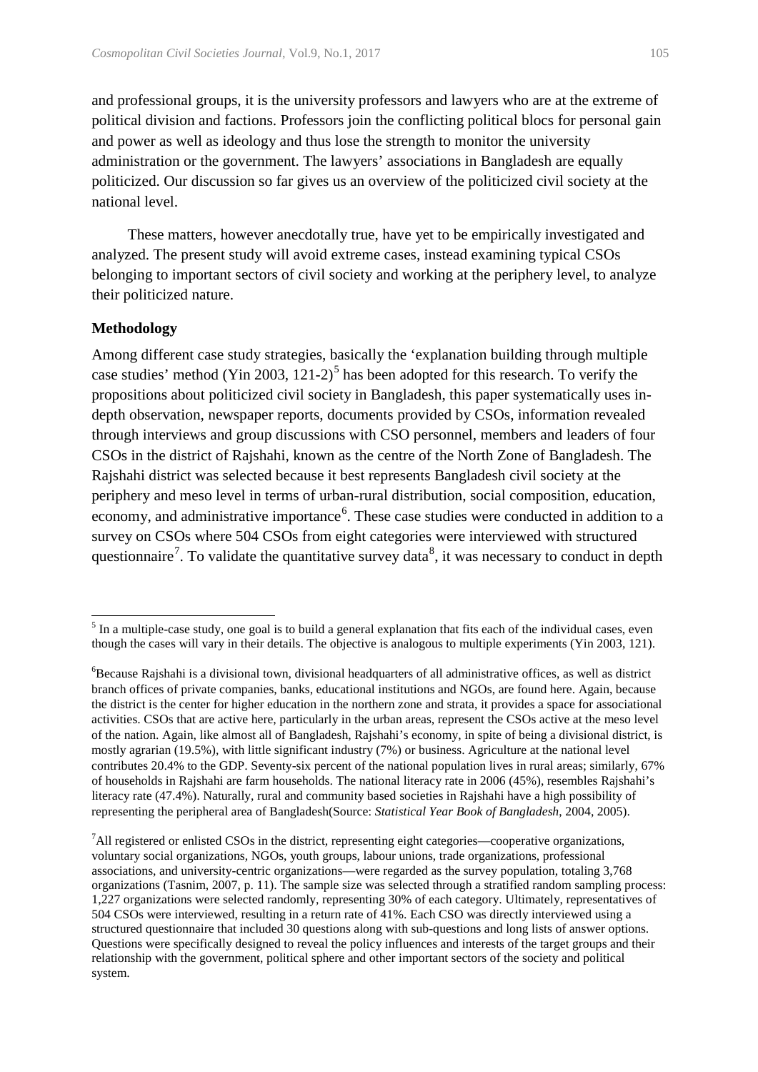and professional groups, it is the university professors and lawyers who are at the extreme of political division and factions. Professors join the conflicting political blocs for personal gain and power as well as ideology and thus lose the strength to monitor the university administration or the government. The lawyers' associations in Bangladesh are equally politicized. Our discussion so far gives us an overview of the politicized civil society at the national level.

These matters, however anecdotally true, have yet to be empirically investigated and analyzed. The present study will avoid extreme cases, instead examining typical CSOs belonging to important sectors of civil society and working at the periphery level, to analyze their politicized nature.

#### **Methodology**

Among different case study strategies, basically the 'explanation building through multiple case studies' method (Yin 2003, 121-2)<sup>[5](#page-7-0)</sup> has been adopted for this research. To verify the propositions about politicized civil society in Bangladesh, this paper systematically uses indepth observation, newspaper reports, documents provided by CSOs, information revealed through interviews and group discussions with CSO personnel, members and leaders of four CSOs in the district of Rajshahi, known as the centre of the North Zone of Bangladesh. The Rajshahi district was selected because it best represents Bangladesh civil society at the periphery and meso level in terms of urban-rural distribution, social composition, education, economy, and administrative importance<sup>[6](#page-7-1)</sup>. These case studies were conducted in addition to a survey on CSOs where 504 CSOs from eight categories were interviewed with structured questionnaire<sup>[7](#page-7-2)</sup>. To validate the quantitative survey data<sup>[8](#page-7-3)</sup>, it was necessary to conduct in depth

<span id="page-7-0"></span><sup>&</sup>lt;sup>5</sup> In a multiple-case study, one goal is to build a general explanation that fits each of the individual cases, even though the cases will vary in their details. The objective is analogous to multiple experiments (Yin 2003, 121).

<span id="page-7-1"></span><sup>6</sup> Because Rajshahi is a divisional town, divisional headquarters of all administrative offices, as well as district branch offices of private companies, banks, educational institutions and NGOs, are found here. Again, because the district is the center for higher education in the northern zone and strata, it provides a space for associational activities. CSOs that are active here, particularly in the urban areas, represent the CSOs active at the meso level of the nation. Again, like almost all of Bangladesh, Rajshahi's economy, in spite of being a divisional district, is mostly agrarian (19.5%), with little significant industry (7%) or business. Agriculture at the national level contributes 20.4% to the GDP. Seventy-six percent of the national population lives in rural areas; similarly, 67% of households in Rajshahi are farm households. The national literacy rate in 2006 (45%), resembles Rajshahi's literacy rate (47.4%). Naturally, rural and community based societies in Rajshahi have a high possibility of representing the peripheral area of Bangladesh(Source: *Statistical Year Book of Bangladesh*, 2004, 2005).

<span id="page-7-3"></span><span id="page-7-2"></span> $^7$ All registered or enlisted CSOs in the district, representing eight categories—cooperative organizations, voluntary social organizations, NGOs, youth groups, labour unions, trade organizations, professional associations, and university-centric organizations—were regarded as the survey population, totaling 3,768 organizations (Tasnim, 2007, p. 11). The sample size was selected through a stratified random sampling process: 1,227 organizations were selected randomly, representing 30% of each category. Ultimately, representatives of 504 CSOs were interviewed, resulting in a return rate of 41%. Each CSO was directly interviewed using a structured questionnaire that included 30 questions along with sub-questions and long lists of answer options. Questions were specifically designed to reveal the policy influences and interests of the target groups and their relationship with the government, political sphere and other important sectors of the society and political system.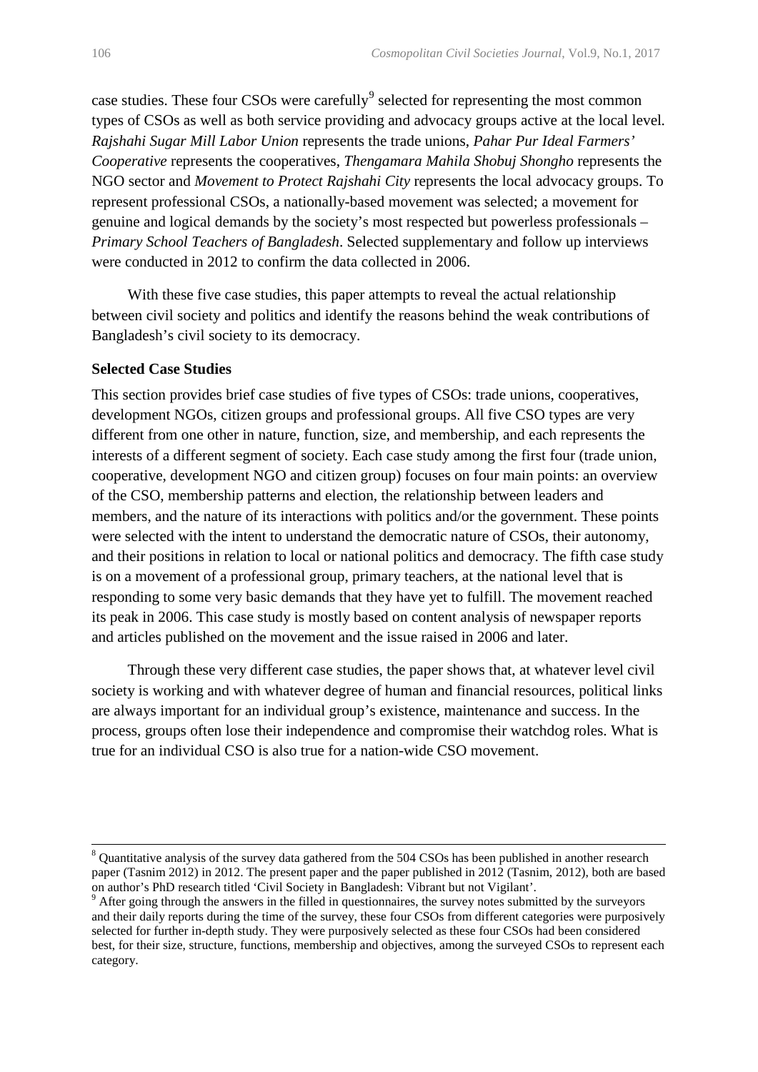case studies. These four CSOs were carefully<sup>[9](#page-8-0)</sup> selected for representing the most common types of CSOs as well as both service providing and advocacy groups active at the local level*. Rajshahi Sugar Mill Labor Union* represents the trade unions, *Pahar Pur Ideal Farmers' Cooperative* represents the cooperatives, *Thengamara Mahila Shobuj Shongho* represents the NGO sector and *Movement to Protect Rajshahi City* represents the local advocacy groups. To represent professional CSOs, a nationally-based movement was selected; a movement for genuine and logical demands by the society's most respected but powerless professionals – *Primary School Teachers of Bangladesh*. Selected supplementary and follow up interviews were conducted in 2012 to confirm the data collected in 2006.

With these five case studies, this paper attempts to reveal the actual relationship between civil society and politics and identify the reasons behind the weak contributions of Bangladesh's civil society to its democracy.

#### **Selected Case Studies**

This section provides brief case studies of five types of CSOs: trade unions, cooperatives, development NGOs, citizen groups and professional groups. All five CSO types are very different from one other in nature, function, size, and membership, and each represents the interests of a different segment of society. Each case study among the first four (trade union, cooperative, development NGO and citizen group) focuses on four main points: an overview of the CSO, membership patterns and election, the relationship between leaders and members, and the nature of its interactions with politics and/or the government. These points were selected with the intent to understand the democratic nature of CSOs, their autonomy, and their positions in relation to local or national politics and democracy. The fifth case study is on a movement of a professional group, primary teachers, at the national level that is responding to some very basic demands that they have yet to fulfill. The movement reached its peak in 2006. This case study is mostly based on content analysis of newspaper reports and articles published on the movement and the issue raised in 2006 and later.

Through these very different case studies, the paper shows that, at whatever level civil society is working and with whatever degree of human and financial resources, political links are always important for an individual group's existence, maintenance and success. In the process, groups often lose their independence and compromise their watchdog roles. What is true for an individual CSO is also true for a nation-wide CSO movement.

<sup>&</sup>lt;sup>8</sup> Ouantitative analysis of the survey data gathered from the 504 CSOs has been published in another research paper (Tasnim 2012) in 2012. The present paper and the paper published in 2012 (Tasnim, 2012), both are based on author's PhD research titled 'Civil Society in Bangladesh: Vibrant but not Vigilant'.

<span id="page-8-0"></span> $\beta$  After going through the answers in the filled in questionnaires, the survey notes submitted by the surveyors and their daily reports during the time of the survey, these four CSOs from different categories were purposively selected for further in-depth study. They were purposively selected as these four CSOs had been considered best, for their size, structure, functions, membership and objectives, among the surveyed CSOs to represent each category.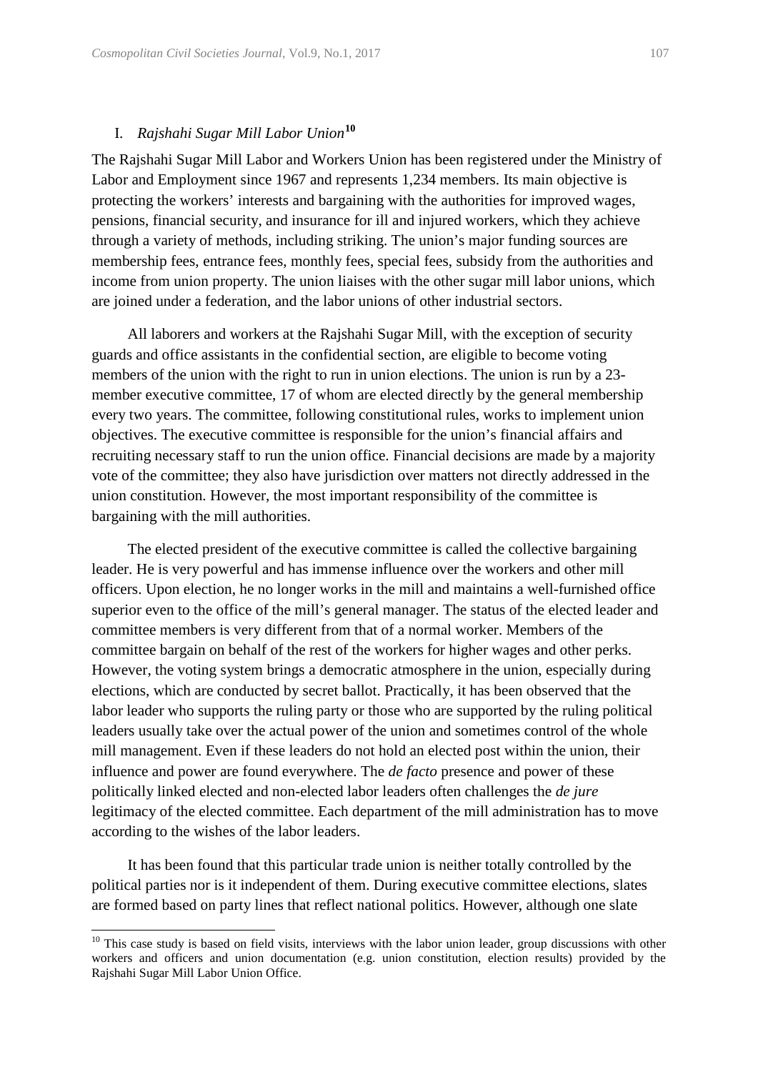#### I. *Rajshahi Sugar Mill Labor Union***[10](#page-9-0)**

The Rajshahi Sugar Mill Labor and Workers Union has been registered under the Ministry of Labor and Employment since 1967 and represents 1,234 members. Its main objective is protecting the workers' interests and bargaining with the authorities for improved wages, pensions, financial security, and insurance for ill and injured workers, which they achieve through a variety of methods, including striking. The union's major funding sources are membership fees, entrance fees, monthly fees, special fees, subsidy from the authorities and income from union property. The union liaises with the other sugar mill labor unions, which are joined under a federation, and the labor unions of other industrial sectors.

All laborers and workers at the Rajshahi Sugar Mill, with the exception of security guards and office assistants in the confidential section, are eligible to become voting members of the union with the right to run in union elections. The union is run by a 23 member executive committee, 17 of whom are elected directly by the general membership every two years. The committee, following constitutional rules, works to implement union objectives. The executive committee is responsible for the union's financial affairs and recruiting necessary staff to run the union office. Financial decisions are made by a majority vote of the committee; they also have jurisdiction over matters not directly addressed in the union constitution. However, the most important responsibility of the committee is bargaining with the mill authorities.

The elected president of the executive committee is called the collective bargaining leader. He is very powerful and has immense influence over the workers and other mill officers. Upon election, he no longer works in the mill and maintains a well-furnished office superior even to the office of the mill's general manager. The status of the elected leader and committee members is very different from that of a normal worker. Members of the committee bargain on behalf of the rest of the workers for higher wages and other perks. However, the voting system brings a democratic atmosphere in the union, especially during elections, which are conducted by secret ballot. Practically, it has been observed that the labor leader who supports the ruling party or those who are supported by the ruling political leaders usually take over the actual power of the union and sometimes control of the whole mill management. Even if these leaders do not hold an elected post within the union, their influence and power are found everywhere. The *de facto* presence and power of these politically linked elected and non-elected labor leaders often challenges the *de jure* legitimacy of the elected committee. Each department of the mill administration has to move according to the wishes of the labor leaders.

It has been found that this particular trade union is neither totally controlled by the political parties nor is it independent of them. During executive committee elections, slates are formed based on party lines that reflect national politics. However, although one slate

<span id="page-9-0"></span> $10$  This case study is based on field visits, interviews with the labor union leader, group discussions with other workers and officers and union documentation (e.g. union constitution, election results) provided by the Rajshahi Sugar Mill Labor Union Office.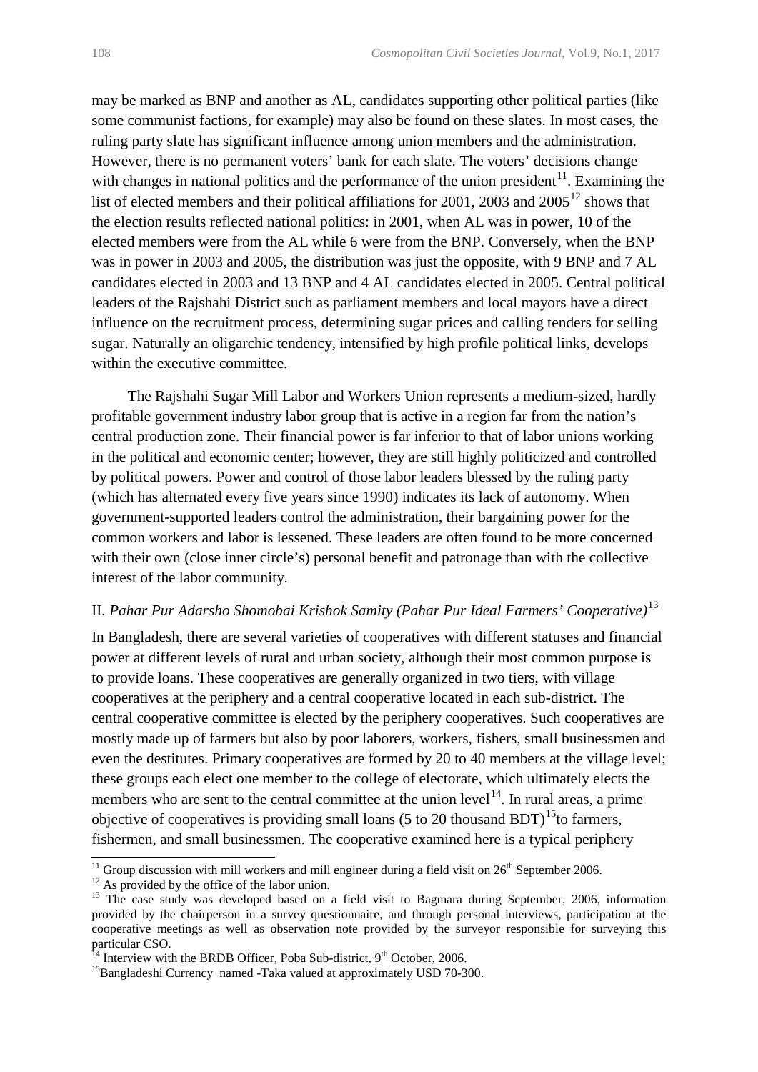may be marked as BNP and another as AL, candidates supporting other political parties (like some communist factions, for example) may also be found on these slates. In most cases, the ruling party slate has significant influence among union members and the administration. However, there is no permanent voters' bank for each slate. The voters' decisions change with changes in national politics and the performance of the union president<sup>11</sup>. Examining the list of elected members and their political affiliations for 2001, 2003 and  $2005^{12}$  $2005^{12}$  $2005^{12}$  shows that the election results reflected national politics: in 2001, when AL was in power, 10 of the elected members were from the AL while 6 were from the BNP. Conversely, when the BNP was in power in 2003 and 2005, the distribution was just the opposite, with 9 BNP and 7 AL candidates elected in 2003 and 13 BNP and 4 AL candidates elected in 2005. Central political leaders of the Rajshahi District such as parliament members and local mayors have a direct influence on the recruitment process, determining sugar prices and calling tenders for selling sugar. Naturally an oligarchic tendency, intensified by high profile political links, develops within the executive committee.

The Rajshahi Sugar Mill Labor and Workers Union represents a medium-sized, hardly profitable government industry labor group that is active in a region far from the nation's central production zone. Their financial power is far inferior to that of labor unions working in the political and economic center; however, they are still highly politicized and controlled by political powers. Power and control of those labor leaders blessed by the ruling party (which has alternated every five years since 1990) indicates its lack of autonomy. When government-supported leaders control the administration, their bargaining power for the common workers and labor is lessened. These leaders are often found to be more concerned with their own (close inner circle's) personal benefit and patronage than with the collective interest of the labor community.

# II. *Pahar Pur Adarsho Shomobai Krishok Samity (Pahar Pur Ideal Farmers' Cooperative)*[13](#page-10-2)

In Bangladesh, there are several varieties of cooperatives with different statuses and financial power at different levels of rural and urban society, although their most common purpose is to provide loans. These cooperatives are generally organized in two tiers, with village cooperatives at the periphery and a central cooperative located in each sub-district. The central cooperative committee is elected by the periphery cooperatives. Such cooperatives are mostly made up of farmers but also by poor laborers, workers, fishers, small businessmen and even the destitutes. Primary cooperatives are formed by 20 to 40 members at the village level; these groups each elect one member to the college of electorate, which ultimately elects the members who are sent to the central committee at the union level<sup>14</sup>. In rural areas, a prime objective of cooperatives is providing small loans  $(5 \text{ to } 20 \text{ thousand BDT})^{15}$  to farmers, fishermen, and small businessmen. The cooperative examined here is a typical periphery

<span id="page-10-2"></span>

<span id="page-10-1"></span><span id="page-10-0"></span><sup>&</sup>lt;sup>11</sup> Group discussion with mill workers and mill engineer during a field visit on  $26^{th}$  September 2006.<br><sup>12</sup> As provided by the office of the labor union.<br><sup>13</sup> The case study was developed based on a field visit to Bagm provided by the chairperson in a survey questionnaire, and through personal interviews, participation at the cooperative meetings as well as observation note provided by the surveyor responsible for surveying this particular CSO.<br><sup>14</sup> Interview with the BRDB Officer, Poba Sub-district, 9<sup>th</sup> October, 2006.<br><sup>15</sup>Bangladeshi Currency named -Taka valued at approximately USD 70-300.

<span id="page-10-3"></span>

<span id="page-10-4"></span>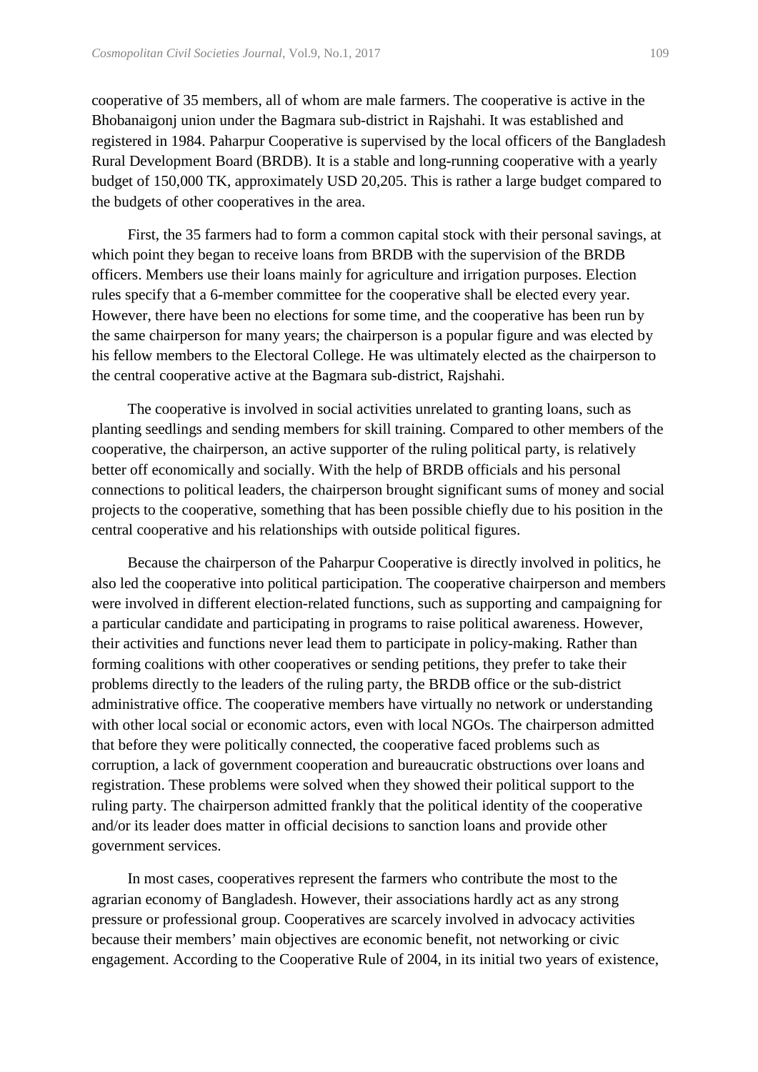cooperative of 35 members, all of whom are male farmers. The cooperative is active in the Bhobanaigonj union under the Bagmara sub-district in Rajshahi. It was established and registered in 1984. Paharpur Cooperative is supervised by the local officers of the Bangladesh Rural Development Board (BRDB). It is a stable and long-running cooperative with a yearly budget of 150,000 TK, approximately USD 20,205. This is rather a large budget compared to the budgets of other cooperatives in the area.

First, the 35 farmers had to form a common capital stock with their personal savings, at which point they began to receive loans from BRDB with the supervision of the BRDB officers. Members use their loans mainly for agriculture and irrigation purposes. Election rules specify that a 6-member committee for the cooperative shall be elected every year. However, there have been no elections for some time, and the cooperative has been run by the same chairperson for many years; the chairperson is a popular figure and was elected by his fellow members to the Electoral College. He was ultimately elected as the chairperson to the central cooperative active at the Bagmara sub-district, Rajshahi.

The cooperative is involved in social activities unrelated to granting loans, such as planting seedlings and sending members for skill training. Compared to other members of the cooperative, the chairperson, an active supporter of the ruling political party, is relatively better off economically and socially. With the help of BRDB officials and his personal connections to political leaders, the chairperson brought significant sums of money and social projects to the cooperative, something that has been possible chiefly due to his position in the central cooperative and his relationships with outside political figures.

Because the chairperson of the Paharpur Cooperative is directly involved in politics, he also led the cooperative into political participation. The cooperative chairperson and members were involved in different election-related functions, such as supporting and campaigning for a particular candidate and participating in programs to raise political awareness. However, their activities and functions never lead them to participate in policy-making. Rather than forming coalitions with other cooperatives or sending petitions, they prefer to take their problems directly to the leaders of the ruling party, the BRDB office or the sub-district administrative office. The cooperative members have virtually no network or understanding with other local social or economic actors, even with local NGOs. The chairperson admitted that before they were politically connected, the cooperative faced problems such as corruption, a lack of government cooperation and bureaucratic obstructions over loans and registration. These problems were solved when they showed their political support to the ruling party. The chairperson admitted frankly that the political identity of the cooperative and/or its leader does matter in official decisions to sanction loans and provide other government services.

In most cases, cooperatives represent the farmers who contribute the most to the agrarian economy of Bangladesh. However, their associations hardly act as any strong pressure or professional group. Cooperatives are scarcely involved in advocacy activities because their members' main objectives are economic benefit, not networking or civic engagement. According to the Cooperative Rule of 2004, in its initial two years of existence,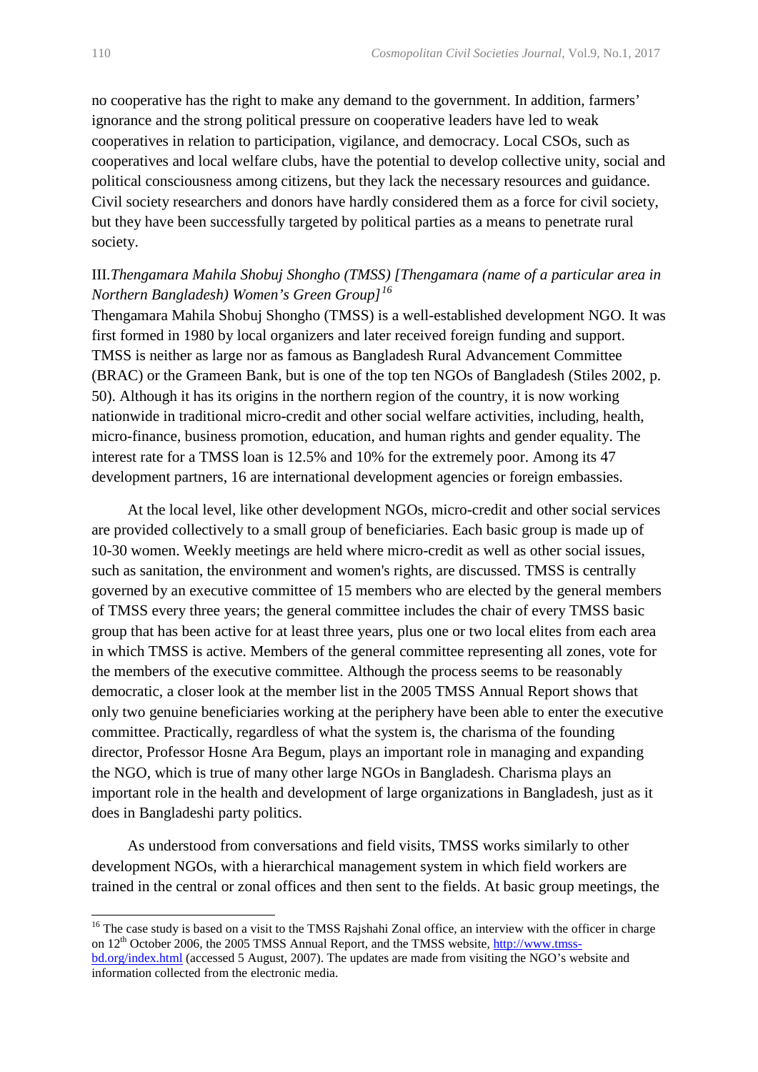no cooperative has the right to make any demand to the government. In addition, farmers' ignorance and the strong political pressure on cooperative leaders have led to weak cooperatives in relation to participation, vigilance, and democracy. Local CSOs, such as cooperatives and local welfare clubs, have the potential to develop collective unity, social and political consciousness among citizens, but they lack the necessary resources and guidance. Civil society researchers and donors have hardly considered them as a force for civil society, but they have been successfully targeted by political parties as a means to penetrate rural society.

# III.*Thengamara Mahila Shobuj Shongho (TMSS) [Thengamara (name of a particular area in Northern Bangladesh) Women's Green Group][16](#page-12-0)*

Thengamara Mahila Shobuj Shongho (TMSS) is a well-established development NGO. It was first formed in 1980 by local organizers and later received foreign funding and support. TMSS is neither as large nor as famous as Bangladesh Rural Advancement Committee (BRAC) or the Grameen Bank, but is one of the top ten NGOs of Bangladesh (Stiles 2002, p. 50). Although it has its origins in the northern region of the country, it is now working nationwide in traditional micro-credit and other social welfare activities, including, health, micro-finance, business promotion, education, and human rights and gender equality. The interest rate for a TMSS loan is 12.5% and 10% for the extremely poor. Among its 47 development partners, 16 are international development agencies or foreign embassies.

At the local level, like other development NGOs, micro-credit and other social services are provided collectively to a small group of beneficiaries. Each basic group is made up of 10-30 women. Weekly meetings are held where micro-credit as well as other social issues, such as sanitation, the environment and women's rights, are discussed. TMSS is centrally governed by an executive committee of 15 members who are elected by the general members of TMSS every three years; the general committee includes the chair of every TMSS basic group that has been active for at least three years, plus one or two local elites from each area in which TMSS is active. Members of the general committee representing all zones, vote for the members of the executive committee. Although the process seems to be reasonably democratic, a closer look at the member list in the 2005 TMSS Annual Report shows that only two genuine beneficiaries working at the periphery have been able to enter the executive committee. Practically, regardless of what the system is, the charisma of the founding director, Professor Hosne Ara Begum, plays an important role in managing and expanding the NGO, which is true of many other large NGOs in Bangladesh. Charisma plays an important role in the health and development of large organizations in Bangladesh, just as it does in Bangladeshi party politics.

As understood from conversations and field visits, TMSS works similarly to other development NGOs, with a hierarchical management system in which field workers are trained in the central or zonal offices and then sent to the fields. At basic group meetings, the

<span id="page-12-0"></span><sup>&</sup>lt;sup>16</sup> The case study is based on a visit to the TMSS Rajshahi Zonal office, an interview with the officer in charge on  $12<sup>th</sup>$  October 2006, the 2005 TMSS Annual Report, and the TMSS website[, http://www.tmss](http://www.tmss-bd.org/index.html)[bd.org/index.html](http://www.tmss-bd.org/index.html) (accessed 5 August, 2007). The updates are made from visiting the NGO's website and information collected from the electronic media.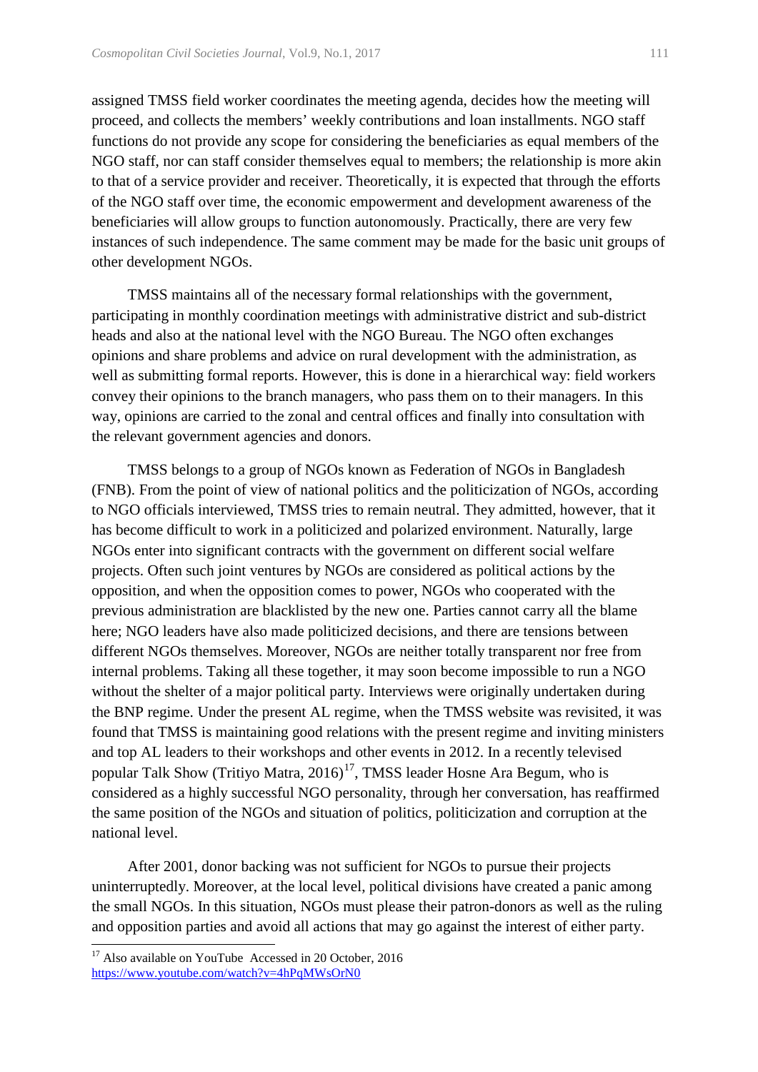assigned TMSS field worker coordinates the meeting agenda, decides how the meeting will proceed, and collects the members' weekly contributions and loan installments. NGO staff functions do not provide any scope for considering the beneficiaries as equal members of the NGO staff, nor can staff consider themselves equal to members; the relationship is more akin to that of a service provider and receiver. Theoretically, it is expected that through the efforts of the NGO staff over time, the economic empowerment and development awareness of the beneficiaries will allow groups to function autonomously. Practically, there are very few instances of such independence. The same comment may be made for the basic unit groups of other development NGOs.

TMSS maintains all of the necessary formal relationships with the government, participating in monthly coordination meetings with administrative district and sub-district heads and also at the national level with the NGO Bureau. The NGO often exchanges opinions and share problems and advice on rural development with the administration, as well as submitting formal reports. However, this is done in a hierarchical way: field workers convey their opinions to the branch managers, who pass them on to their managers. In this way, opinions are carried to the zonal and central offices and finally into consultation with the relevant government agencies and donors.

TMSS belongs to a group of NGOs known as Federation of NGOs in Bangladesh (FNB). From the point of view of national politics and the politicization of NGOs, according to NGO officials interviewed, TMSS tries to remain neutral. They admitted, however, that it has become difficult to work in a politicized and polarized environment. Naturally, large NGOs enter into significant contracts with the government on different social welfare projects. Often such joint ventures by NGOs are considered as political actions by the opposition, and when the opposition comes to power, NGOs who cooperated with the previous administration are blacklisted by the new one. Parties cannot carry all the blame here; NGO leaders have also made politicized decisions, and there are tensions between different NGOs themselves. Moreover, NGOs are neither totally transparent nor free from internal problems. Taking all these together, it may soon become impossible to run a NGO without the shelter of a major political party. Interviews were originally undertaken during the BNP regime. Under the present AL regime, when the TMSS website was revisited, it was found that TMSS is maintaining good relations with the present regime and inviting ministers and top AL leaders to their workshops and other events in 2012. In a recently televised popular Talk Show (Tritiyo Matra,  $2016$ )<sup>17</sup>, TMSS leader Hosne Ara Begum, who is considered as a highly successful NGO personality, through her conversation, has reaffirmed the same position of the NGOs and situation of politics, politicization and corruption at the national level.

After 2001, donor backing was not sufficient for NGOs to pursue their projects uninterruptedly. Moreover, at the local level, political divisions have created a panic among the small NGOs. In this situation, NGOs must please their patron-donors as well as the ruling and opposition parties and avoid all actions that may go against the interest of either party.

<span id="page-13-0"></span><sup>&</sup>lt;sup>17</sup> Also available on YouTube Accessed in 20 October, 2016 <https://www.youtube.com/watch?v=4hPqMWsOrN0>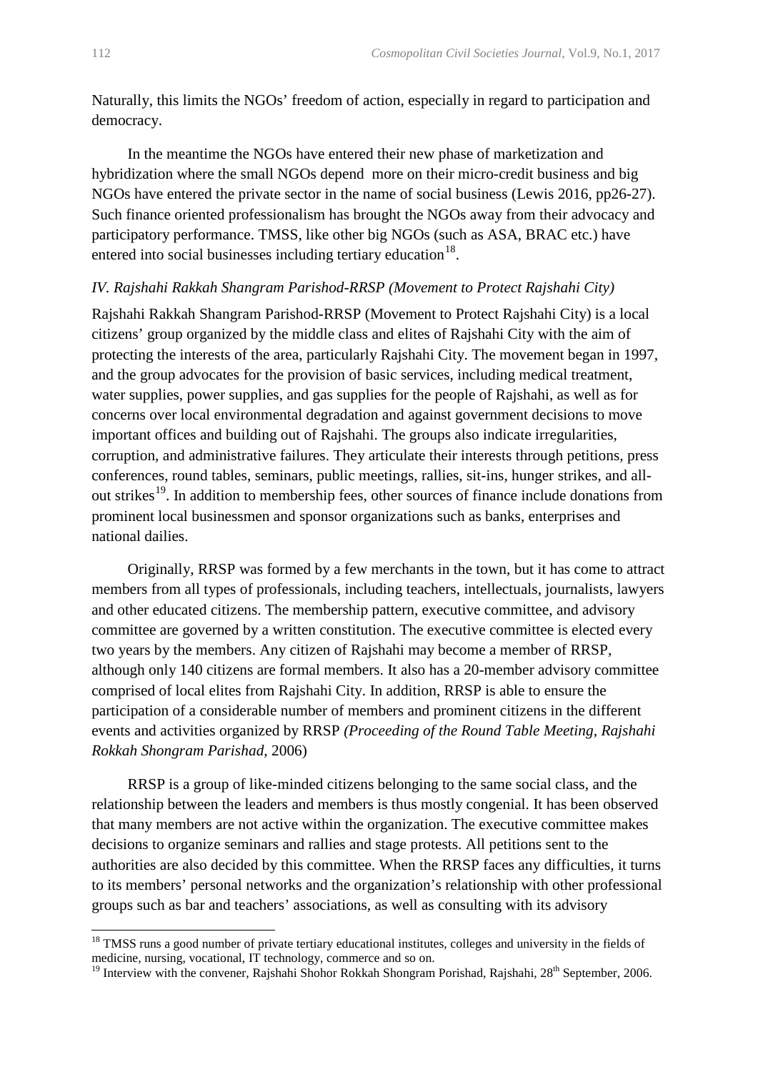Naturally, this limits the NGOs' freedom of action, especially in regard to participation and democracy.

In the meantime the NGOs have entered their new phase of marketization and hybridization where the small NGOs depend more on their micro-credit business and big NGOs have entered the private sector in the name of social business (Lewis 2016, pp26-27). Such finance oriented professionalism has brought the NGOs away from their advocacy and participatory performance. TMSS, like other big NGOs (such as ASA, BRAC etc.) have entered into social businesses including tertiary education<sup>18</sup>.

## *IV. Rajshahi Rakkah Shangram Parishod-RRSP (Movement to Protect Rajshahi City)*

Rajshahi Rakkah Shangram Parishod-RRSP (Movement to Protect Rajshahi City) is a local citizens' group organized by the middle class and elites of Rajshahi City with the aim of protecting the interests of the area, particularly Rajshahi City. The movement began in 1997, and the group advocates for the provision of basic services, including medical treatment, water supplies, power supplies, and gas supplies for the people of Rajshahi, as well as for concerns over local environmental degradation and against government decisions to move important offices and building out of Rajshahi. The groups also indicate irregularities, corruption, and administrative failures. They articulate their interests through petitions, press conferences, round tables, seminars, public meetings, rallies, sit-ins, hunger strikes, and all-out strikes<sup>[19](#page-14-1)</sup>. In addition to membership fees, other sources of finance include donations from prominent local businessmen and sponsor organizations such as banks, enterprises and national dailies.

Originally, RRSP was formed by a few merchants in the town, but it has come to attract members from all types of professionals, including teachers, intellectuals, journalists, lawyers and other educated citizens. The membership pattern, executive committee, and advisory committee are governed by a written constitution. The executive committee is elected every two years by the members. Any citizen of Rajshahi may become a member of RRSP, although only 140 citizens are formal members. It also has a 20-member advisory committee comprised of local elites from Rajshahi City. In addition, RRSP is able to ensure the participation of a considerable number of members and prominent citizens in the different events and activities organized by RRSP *(Proceeding of the Round Table Meeting, Rajshahi Rokkah Shongram Parishad*, 2006)

RRSP is a group of like-minded citizens belonging to the same social class, and the relationship between the leaders and members is thus mostly congenial. It has been observed that many members are not active within the organization. The executive committee makes decisions to organize seminars and rallies and stage protests. All petitions sent to the authorities are also decided by this committee. When the RRSP faces any difficulties, it turns to its members' personal networks and the organization's relationship with other professional groups such as bar and teachers' associations, as well as consulting with its advisory

<span id="page-14-0"></span><sup>&</sup>lt;sup>18</sup> TMSS runs a good number of private tertiary educational institutes, colleges and university in the fields of medicine, nursing, vocational, IT technology, commerce and so on.

<span id="page-14-1"></span><sup>&</sup>lt;sup>19</sup> Interview with the convener, Rajshahi Shohor Rokkah Shongram Porishad, Rajshahi,  $28<sup>th</sup>$  September, 2006.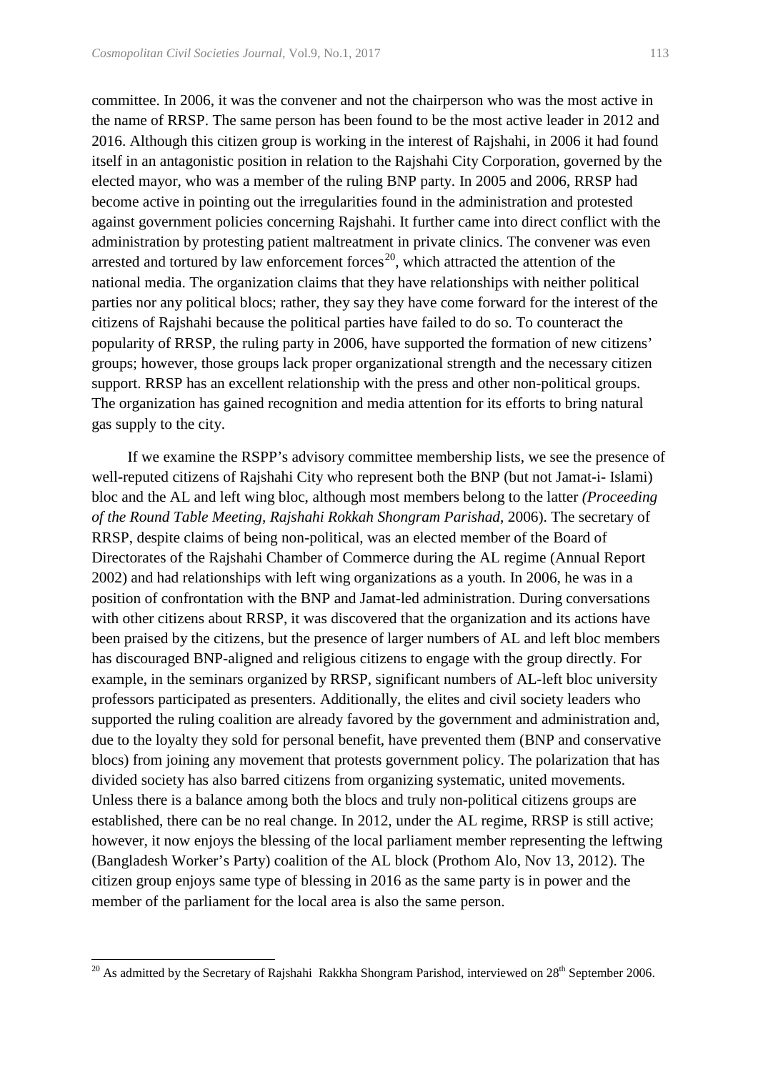committee. In 2006, it was the convener and not the chairperson who was the most active in the name of RRSP. The same person has been found to be the most active leader in 2012 and 2016. Although this citizen group is working in the interest of Rajshahi, in 2006 it had found itself in an antagonistic position in relation to the Rajshahi City Corporation, governed by the elected mayor, who was a member of the ruling BNP party. In 2005 and 2006, RRSP had become active in pointing out the irregularities found in the administration and protested against government policies concerning Rajshahi. It further came into direct conflict with the administration by protesting patient maltreatment in private clinics. The convener was even arrested and tortured by law enforcement forces<sup>20</sup>, which attracted the attention of the national media. The organization claims that they have relationships with neither political parties nor any political blocs; rather, they say they have come forward for the interest of the citizens of Rajshahi because the political parties have failed to do so. To counteract the popularity of RRSP, the ruling party in 2006, have supported the formation of new citizens' groups; however, those groups lack proper organizational strength and the necessary citizen support. RRSP has an excellent relationship with the press and other non-political groups. The organization has gained recognition and media attention for its efforts to bring natural gas supply to the city.

If we examine the RSPP's advisory committee membership lists, we see the presence of well-reputed citizens of Rajshahi City who represent both the BNP (but not Jamat-i- Islami) bloc and the AL and left wing bloc, although most members belong to the latter *(Proceeding of the Round Table Meeting, Rajshahi Rokkah Shongram Parishad*, 2006). The secretary of RRSP, despite claims of being non-political, was an elected member of the Board of Directorates of the Rajshahi Chamber of Commerce during the AL regime (Annual Report 2002) and had relationships with left wing organizations as a youth. In 2006, he was in a position of confrontation with the BNP and Jamat-led administration. During conversations with other citizens about RRSP, it was discovered that the organization and its actions have been praised by the citizens, but the presence of larger numbers of AL and left bloc members has discouraged BNP-aligned and religious citizens to engage with the group directly. For example, in the seminars organized by RRSP, significant numbers of AL-left bloc university professors participated as presenters. Additionally, the elites and civil society leaders who supported the ruling coalition are already favored by the government and administration and, due to the loyalty they sold for personal benefit, have prevented them (BNP and conservative blocs) from joining any movement that protests government policy. The polarization that has divided society has also barred citizens from organizing systematic, united movements. Unless there is a balance among both the blocs and truly non-political citizens groups are established, there can be no real change. In 2012, under the AL regime, RRSP is still active; however, it now enjoys the blessing of the local parliament member representing the leftwing (Bangladesh Worker's Party) coalition of the AL block (Prothom Alo, Nov 13, 2012). The citizen group enjoys same type of blessing in 2016 as the same party is in power and the member of the parliament for the local area is also the same person.

<span id="page-15-0"></span><sup>&</sup>lt;sup>20</sup> As admitted by the Secretary of Rajshahi Rakkha Shongram Parishod, interviewed on  $28<sup>th</sup>$  September 2006.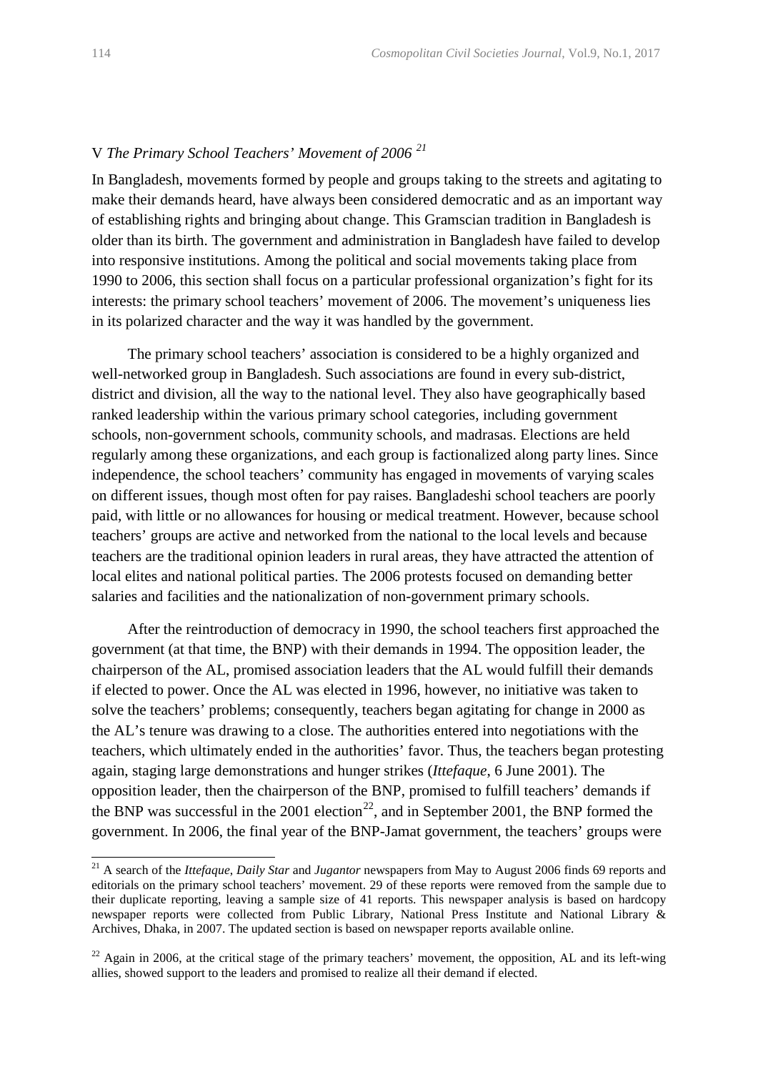# V *The Primary School Teachers' Movement of 2006 [21](#page-16-0)*

In Bangladesh, movements formed by people and groups taking to the streets and agitating to make their demands heard, have always been considered democratic and as an important way of establishing rights and bringing about change. This Gramscian tradition in Bangladesh is older than its birth. The government and administration in Bangladesh have failed to develop into responsive institutions. Among the political and social movements taking place from 1990 to 2006, this section shall focus on a particular professional organization's fight for its interests: the primary school teachers' movement of 2006. The movement's uniqueness lies in its polarized character and the way it was handled by the government.

The primary school teachers' association is considered to be a highly organized and well-networked group in Bangladesh. Such associations are found in every sub-district, district and division, all the way to the national level. They also have geographically based ranked leadership within the various primary school categories, including government schools, non-government schools, community schools, and madrasas. Elections are held regularly among these organizations, and each group is factionalized along party lines. Since independence, the school teachers' community has engaged in movements of varying scales on different issues, though most often for pay raises. Bangladeshi school teachers are poorly paid, with little or no allowances for housing or medical treatment. However, because school teachers' groups are active and networked from the national to the local levels and because teachers are the traditional opinion leaders in rural areas, they have attracted the attention of local elites and national political parties. The 2006 protests focused on demanding better salaries and facilities and the nationalization of non-government primary schools.

After the reintroduction of democracy in 1990, the school teachers first approached the government (at that time, the BNP) with their demands in 1994. The opposition leader, the chairperson of the AL, promised association leaders that the AL would fulfill their demands if elected to power. Once the AL was elected in 1996, however, no initiative was taken to solve the teachers' problems; consequently, teachers began agitating for change in 2000 as the AL's tenure was drawing to a close. The authorities entered into negotiations with the teachers, which ultimately ended in the authorities' favor. Thus, the teachers began protesting again, staging large demonstrations and hunger strikes (*Ittefaque*, 6 June 2001). The opposition leader, then the chairperson of the BNP, promised to fulfill teachers' demands if the BNP was successful in the 2001 election<sup>22</sup>, and in September 2001, the BNP formed the government. In 2006, the final year of the BNP-Jamat government, the teachers' groups were

<span id="page-16-0"></span><sup>21</sup> A search of the *Ittefaque*, *Daily Star* and *Jugantor* newspapers from May to August 2006 finds 69 reports and editorials on the primary school teachers' movement. 29 of these reports were removed from the sample due to their duplicate reporting, leaving a sample size of 41 reports. This newspaper analysis is based on hardcopy newspaper reports were collected from Public Library, National Press Institute and National Library & Archives, Dhaka, in 2007. The updated section is based on newspaper reports available online.

<span id="page-16-1"></span> $^{22}$  Again in 2006, at the critical stage of the primary teachers' movement, the opposition, AL and its left-wing allies, showed support to the leaders and promised to realize all their demand if elected.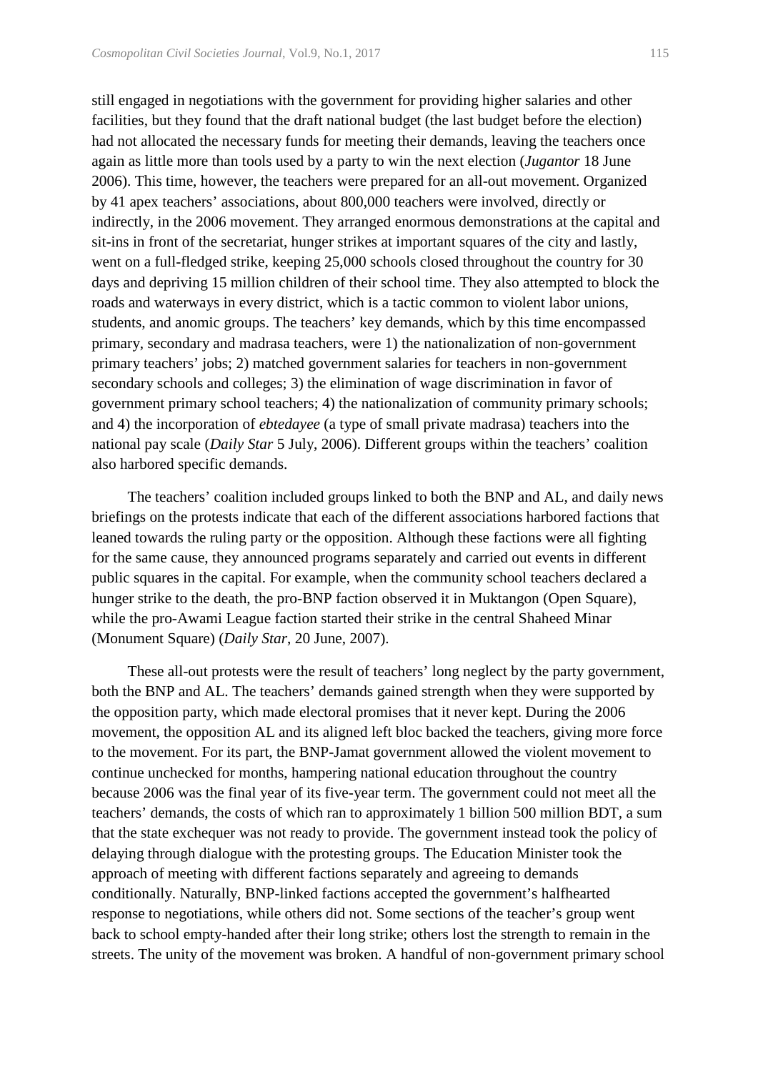still engaged in negotiations with the government for providing higher salaries and other facilities, but they found that the draft national budget (the last budget before the election) had not allocated the necessary funds for meeting their demands, leaving the teachers once again as little more than tools used by a party to win the next election (*Jugantor* 18 June 2006). This time, however, the teachers were prepared for an all-out movement. Organized by 41 apex teachers' associations, about 800,000 teachers were involved, directly or indirectly, in the 2006 movement. They arranged enormous demonstrations at the capital and sit-ins in front of the secretariat, hunger strikes at important squares of the city and lastly, went on a full-fledged strike, keeping 25,000 schools closed throughout the country for 30 days and depriving 15 million children of their school time. They also attempted to block the roads and waterways in every district, which is a tactic common to violent labor unions, students, and anomic groups. The teachers' key demands, which by this time encompassed primary, secondary and madrasa teachers, were 1) the nationalization of non-government primary teachers' jobs; 2) matched government salaries for teachers in non-government secondary schools and colleges; 3) the elimination of wage discrimination in favor of government primary school teachers; 4) the nationalization of community primary schools; and 4) the incorporation of *ebtedayee* (a type of small private madrasa) teachers into the national pay scale (*Daily Star* 5 July, 2006). Different groups within the teachers' coalition also harbored specific demands.

The teachers' coalition included groups linked to both the BNP and AL, and daily news briefings on the protests indicate that each of the different associations harbored factions that leaned towards the ruling party or the opposition. Although these factions were all fighting for the same cause, they announced programs separately and carried out events in different public squares in the capital. For example, when the community school teachers declared a hunger strike to the death, the pro-BNP faction observed it in Muktangon (Open Square), while the pro-Awami League faction started their strike in the central Shaheed Minar (Monument Square) (*Daily Star*, 20 June, 2007).

These all-out protests were the result of teachers' long neglect by the party government, both the BNP and AL. The teachers' demands gained strength when they were supported by the opposition party, which made electoral promises that it never kept. During the 2006 movement, the opposition AL and its aligned left bloc backed the teachers, giving more force to the movement. For its part, the BNP-Jamat government allowed the violent movement to continue unchecked for months, hampering national education throughout the country because 2006 was the final year of its five-year term. The government could not meet all the teachers' demands, the costs of which ran to approximately 1 billion 500 million BDT, a sum that the state exchequer was not ready to provide. The government instead took the policy of delaying through dialogue with the protesting groups. The Education Minister took the approach of meeting with different factions separately and agreeing to demands conditionally. Naturally, BNP-linked factions accepted the government's halfhearted response to negotiations, while others did not. Some sections of the teacher's group went back to school empty-handed after their long strike; others lost the strength to remain in the streets. The unity of the movement was broken. A handful of non-government primary school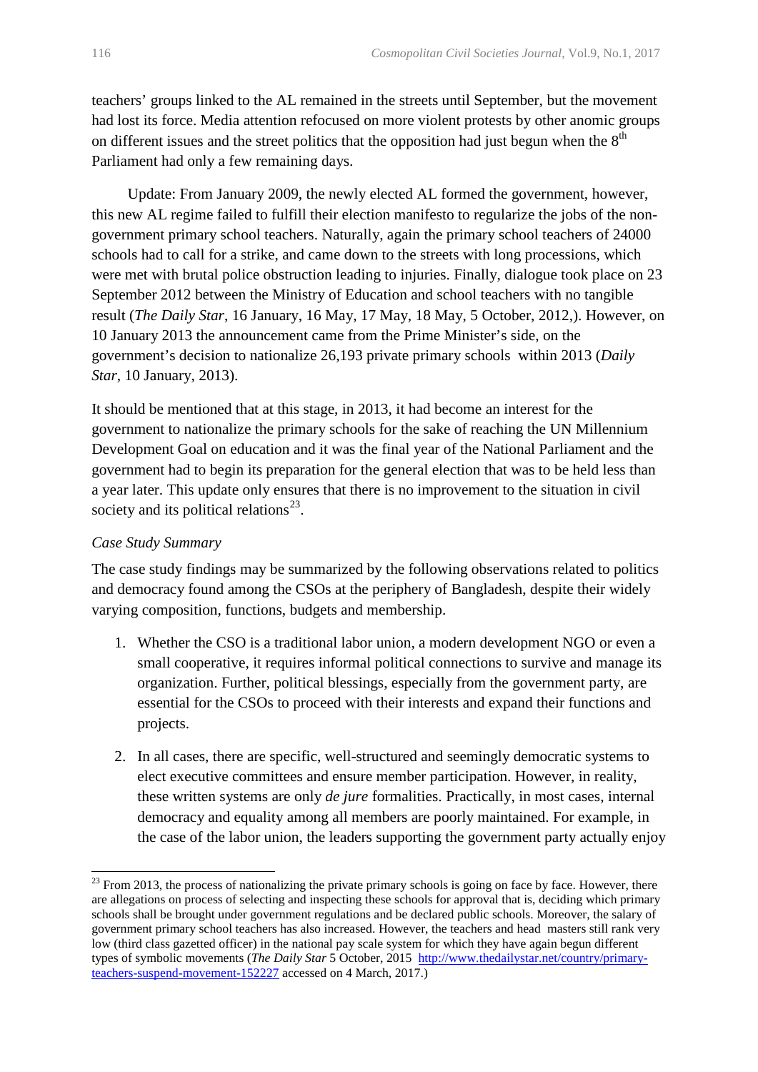teachers' groups linked to the AL remained in the streets until September, but the movement had lost its force. Media attention refocused on more violent protests by other anomic groups on different issues and the street politics that the opposition had just begun when the  $8<sup>th</sup>$ Parliament had only a few remaining days.

Update: From January 2009, the newly elected AL formed the government, however, this new AL regime failed to fulfill their election manifesto to regularize the jobs of the nongovernment primary school teachers. Naturally, again the primary school teachers of 24000 schools had to call for a strike, and came down to the streets with long processions, which were met with brutal police obstruction leading to injuries. Finally, dialogue took place on 23 September 2012 between the Ministry of Education and school teachers with no tangible result (*The Daily Star*, 16 January, 16 May, 17 May, 18 May, 5 October, 2012,). However, on 10 January 2013 the announcement came from the Prime Minister's side, on the government's decision to nationalize 26,193 private primary schools within 2013 (*Daily Star*, 10 January, 2013).

It should be mentioned that at this stage, in 2013, it had become an interest for the government to nationalize the primary schools for the sake of reaching the UN Millennium Development Goal on education and it was the final year of the National Parliament and the government had to begin its preparation for the general election that was to be held less than a year later. This update only ensures that there is no improvement to the situation in civil society and its political relations<sup>23</sup>.

# *Case Study Summary*

The case study findings may be summarized by the following observations related to politics and democracy found among the CSOs at the periphery of Bangladesh, despite their widely varying composition, functions, budgets and membership.

- 1. Whether the CSO is a traditional labor union, a modern development NGO or even a small cooperative, it requires informal political connections to survive and manage its organization. Further, political blessings, especially from the government party, are essential for the CSOs to proceed with their interests and expand their functions and projects.
- 2. In all cases, there are specific, well-structured and seemingly democratic systems to elect executive committees and ensure member participation. However, in reality, these written systems are only *de jure* formalities. Practically, in most cases, internal democracy and equality among all members are poorly maintained. For example, in the case of the labor union, the leaders supporting the government party actually enjoy

<span id="page-18-0"></span><sup>&</sup>lt;sup>23</sup> From 2013, the process of nationalizing the private primary schools is going on face by face. However, there are allegations on process of selecting and inspecting these schools for approval that is, deciding which primary schools shall be brought under government regulations and be declared public schools. Moreover, the salary of government primary school teachers has also increased. However, the teachers and head masters still rank very low (third class gazetted officer) in the national pay scale system for which they have again begun different types of symbolic movements (*The Daily Star* 5 October, 2015 [http://www.thedailystar.net/country/primary](http://www.thedailystar.net/country/primary-teachers-suspend-movement-152227)[teachers-suspend-movement-152227](http://www.thedailystar.net/country/primary-teachers-suspend-movement-152227) accessed on 4 March, 2017.)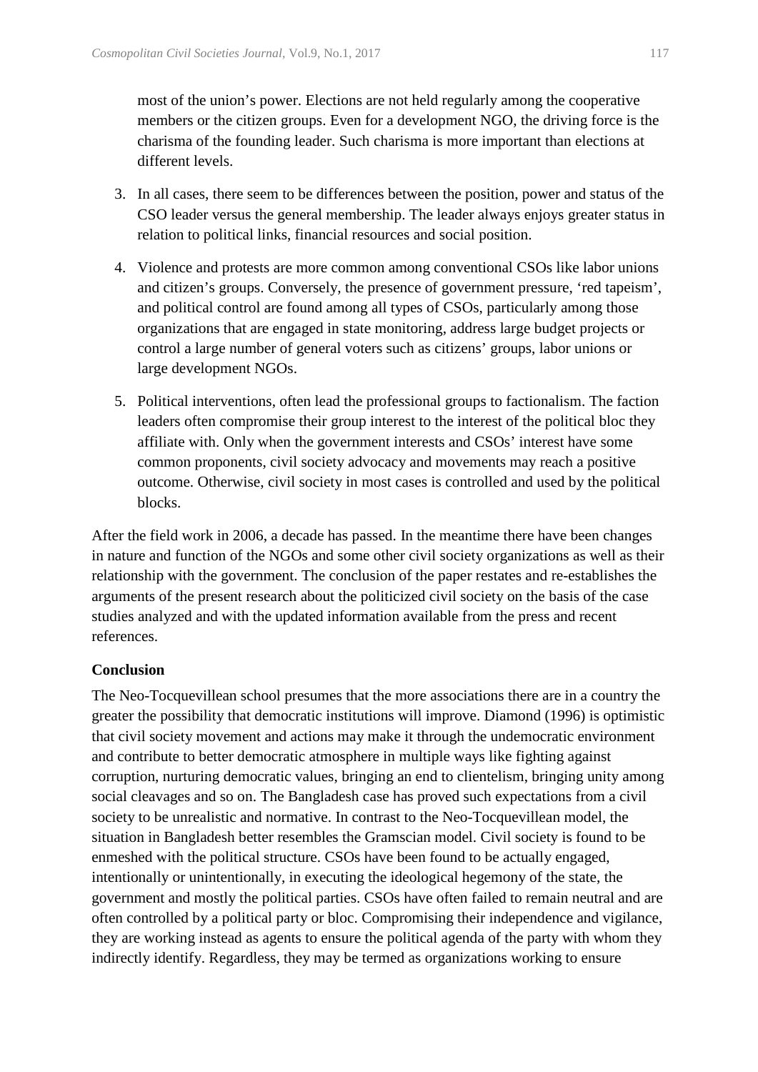most of the union's power. Elections are not held regularly among the cooperative members or the citizen groups. Even for a development NGO, the driving force is the charisma of the founding leader. Such charisma is more important than elections at different levels.

- 3. In all cases, there seem to be differences between the position, power and status of the CSO leader versus the general membership. The leader always enjoys greater status in relation to political links, financial resources and social position.
- 4. Violence and protests are more common among conventional CSOs like labor unions and citizen's groups. Conversely, the presence of government pressure, 'red tapeism', and political control are found among all types of CSOs, particularly among those organizations that are engaged in state monitoring, address large budget projects or control a large number of general voters such as citizens' groups, labor unions or large development NGOs.
- 5. Political interventions, often lead the professional groups to factionalism. The faction leaders often compromise their group interest to the interest of the political bloc they affiliate with. Only when the government interests and CSOs' interest have some common proponents, civil society advocacy and movements may reach a positive outcome. Otherwise, civil society in most cases is controlled and used by the political blocks.

After the field work in 2006, a decade has passed. In the meantime there have been changes in nature and function of the NGOs and some other civil society organizations as well as their relationship with the government. The conclusion of the paper restates and re-establishes the arguments of the present research about the politicized civil society on the basis of the case studies analyzed and with the updated information available from the press and recent references.

# **Conclusion**

The Neo-Tocquevillean school presumes that the more associations there are in a country the greater the possibility that democratic institutions will improve. Diamond (1996) is optimistic that civil society movement and actions may make it through the undemocratic environment and contribute to better democratic atmosphere in multiple ways like fighting against corruption, nurturing democratic values, bringing an end to clientelism, bringing unity among social cleavages and so on. The Bangladesh case has proved such expectations from a civil society to be unrealistic and normative. In contrast to the Neo-Tocquevillean model, the situation in Bangladesh better resembles the Gramscian model. Civil society is found to be enmeshed with the political structure. CSOs have been found to be actually engaged, intentionally or unintentionally, in executing the ideological hegemony of the state, the government and mostly the political parties. CSOs have often failed to remain neutral and are often controlled by a political party or bloc. Compromising their independence and vigilance, they are working instead as agents to ensure the political agenda of the party with whom they indirectly identify. Regardless, they may be termed as organizations working to ensure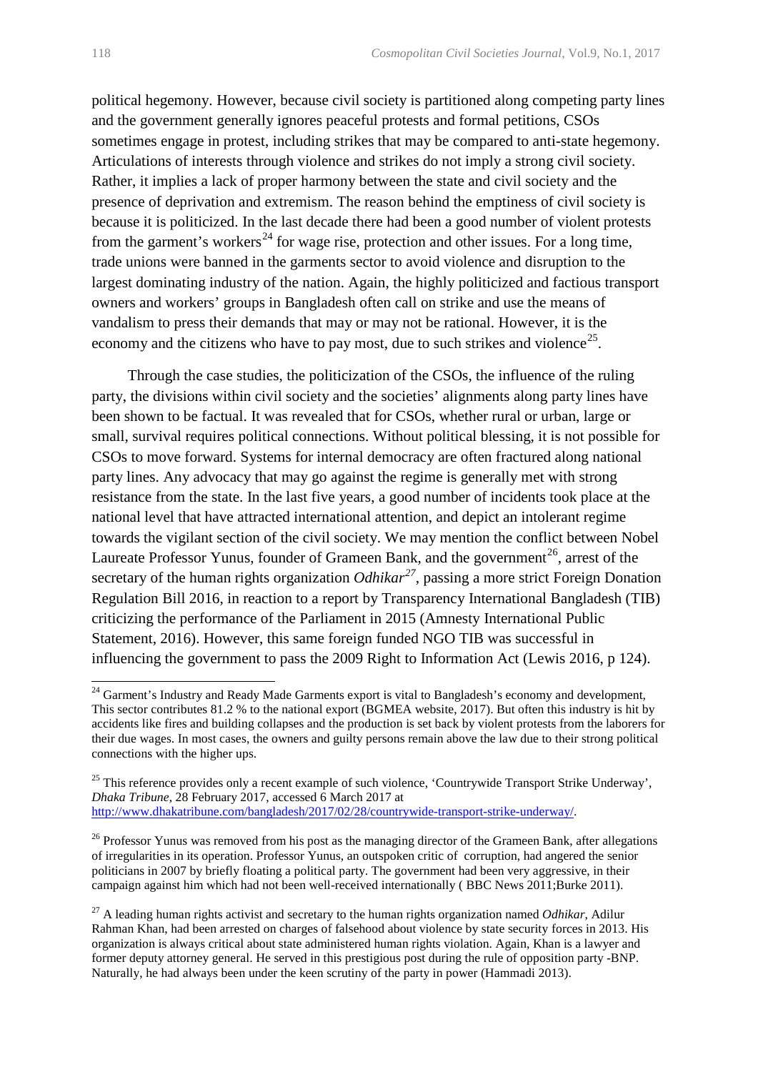political hegemony. However, because civil society is partitioned along competing party lines and the government generally ignores peaceful protests and formal petitions, CSOs sometimes engage in protest, including strikes that may be compared to anti-state hegemony. Articulations of interests through violence and strikes do not imply a strong civil society. Rather, it implies a lack of proper harmony between the state and civil society and the presence of deprivation and extremism. The reason behind the emptiness of civil society is because it is politicized. In the last decade there had been a good number of violent protests from the garment's workers<sup>[24](#page-20-0)</sup> for wage rise, protection and other issues. For a long time, trade unions were banned in the garments sector to avoid violence and disruption to the largest dominating industry of the nation. Again, the highly politicized and factious transport owners and workers' groups in Bangladesh often call on strike and use the means of vandalism to press their demands that may or may not be rational. However, it is the economy and the citizens who have to pay most, due to such strikes and violence<sup>25</sup>.

Through the case studies, the politicization of the CSOs, the influence of the ruling party, the divisions within civil society and the societies' alignments along party lines have been shown to be factual. It was revealed that for CSOs, whether rural or urban, large or small, survival requires political connections. Without political blessing, it is not possible for CSOs to move forward. Systems for internal democracy are often fractured along national party lines. Any advocacy that may go against the regime is generally met with strong resistance from the state. In the last five years, a good number of incidents took place at the national level that have attracted international attention, and depict an intolerant regime towards the vigilant section of the civil society. We may mention the conflict between Nobel Laureate Professor Yunus, founder of Grameen Bank, and the government<sup>[26](#page-20-2)</sup>, arrest of the secretary of the human rights organization *Odhikar[27](#page-20-3)*, passing a more strict Foreign Donation Regulation Bill 2016, in reaction to a report by Transparency International Bangladesh (TIB) criticizing the performance of the Parliament in 2015 (Amnesty International Public Statement, 2016). However, this same foreign funded NGO TIB was successful in influencing the government to pass the 2009 Right to Information Act (Lewis 2016, p 124).

<span id="page-20-0"></span><sup>&</sup>lt;sup>24</sup> Garment's Industry and Ready Made Garments export is vital to Bangladesh's economy and development, This sector contributes 81.2 % to the national export (BGMEA website, 2017). But often this industry is hit by accidents like fires and building collapses and the production is set back by violent protests from the laborers for their due wages. In most cases, the owners and guilty persons remain above the law due to their strong political connections with the higher ups.

<span id="page-20-1"></span><sup>&</sup>lt;sup>25</sup> This reference provides only a recent example of such violence, 'Countrywide Transport Strike Underway', *Dhaka Tribune*, 28 February 2017, accessed 6 March 2017 at [http://www.dhakatribune.com/bangladesh/2017/02/28/countrywide-transport-strike-underway/.](http://www.dhakatribune.com/bangladesh/2017/02/28/countrywide-transport-strike-underway/)

<span id="page-20-2"></span><sup>&</sup>lt;sup>26</sup> Professor Yunus was removed from his post as the managing director of the Grameen Bank, after allegations of irregularities in its operation. Professor Yunus, an outspoken critic of corruption, had angered the senior politicians in 2007 by briefly floating a political party. The government had been very aggressive, in their campaign against him which had not been well-received internationally (BBC News 2011;Burke 2011).

<span id="page-20-3"></span><sup>27</sup> A leading human rights activist and secretary to the human rights organization named *Odhikar*, Adilur Rahman Khan, had been arrested on charges of falsehood about violence by state security forces in 2013. His organization is always critical about state administered human rights violation. Again, Khan is a lawyer and former deputy attorney general. He served in this prestigious post during the rule of opposition party -BNP. Naturally, he had always been under the keen scrutiny of the party in power (Hammadi 2013).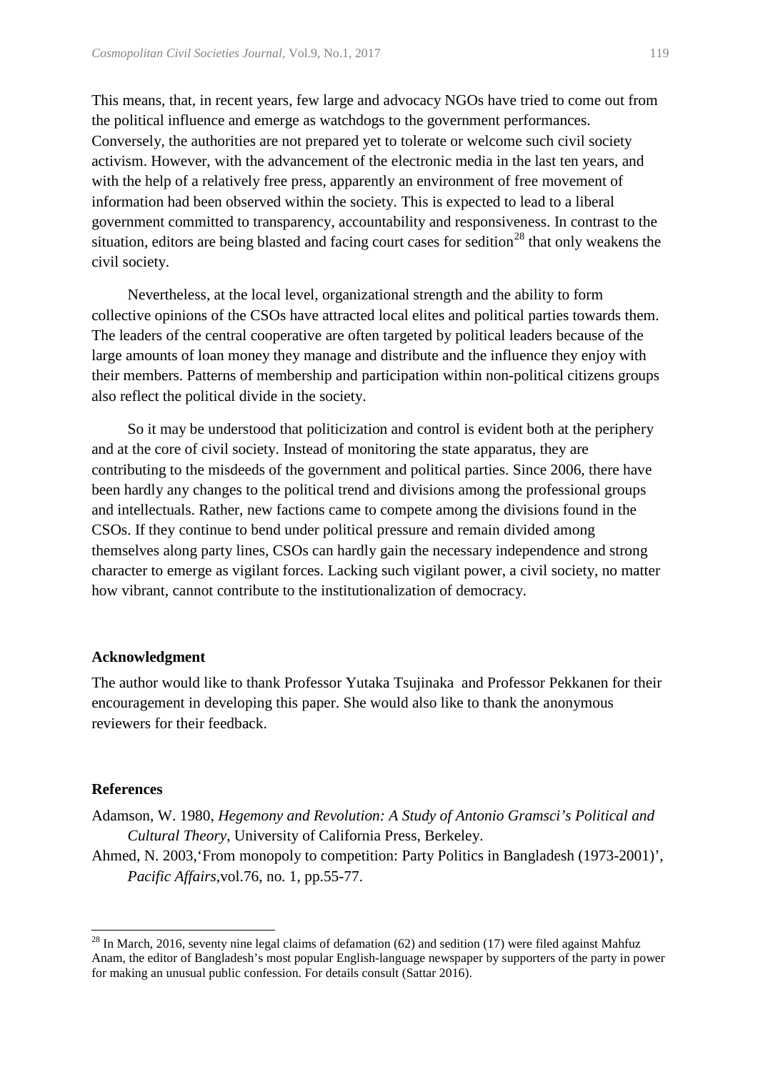This means, that, in recent years, few large and advocacy NGOs have tried to come out from the political influence and emerge as watchdogs to the government performances. Conversely, the authorities are not prepared yet to tolerate or welcome such civil society activism. However, with the advancement of the electronic media in the last ten years, and with the help of a relatively free press, apparently an environment of free movement of information had been observed within the society. This is expected to lead to a liberal government committed to transparency, accountability and responsiveness. In contrast to the situation, editors are being blasted and facing court cases for sedition<sup>[28](#page-21-0)</sup> that only weakens the civil society.

Nevertheless, at the local level, organizational strength and the ability to form collective opinions of the CSOs have attracted local elites and political parties towards them. The leaders of the central cooperative are often targeted by political leaders because of the large amounts of loan money they manage and distribute and the influence they enjoy with their members. Patterns of membership and participation within non-political citizens groups also reflect the political divide in the society.

So it may be understood that politicization and control is evident both at the periphery and at the core of civil society. Instead of monitoring the state apparatus, they are contributing to the misdeeds of the government and political parties. Since 2006, there have been hardly any changes to the political trend and divisions among the professional groups and intellectuals. Rather, new factions came to compete among the divisions found in the CSOs. If they continue to bend under political pressure and remain divided among themselves along party lines, CSOs can hardly gain the necessary independence and strong character to emerge as vigilant forces. Lacking such vigilant power, a civil society, no matter how vibrant, cannot contribute to the institutionalization of democracy.

#### **Acknowledgment**

The author would like to thank Professor Yutaka Tsujinaka and Professor Pekkanen for their encouragement in developing this paper. She would also like to thank the anonymous reviewers for their feedback.

#### **References**

Adamson, W. 1980, *Hegemony and Revolution: A Study of Antonio Gramsci's Political and Cultural Theory*, University of California Press, Berkeley.

Ahmed, N. 2003,'From monopoly to competition: Party Politics in Bangladesh (1973-2001)', *Pacific Affairs*,vol.76, no. 1, pp.55-77.

<span id="page-21-0"></span> $^{28}$  In March, 2016, seventy nine legal claims of defamation (62) and sedition (17) were filed against Mahfuz Anam, the editor of Bangladesh's most popular English-language newspaper by supporters of the party in power for making an unusual public confession. For details consult (Sattar 2016).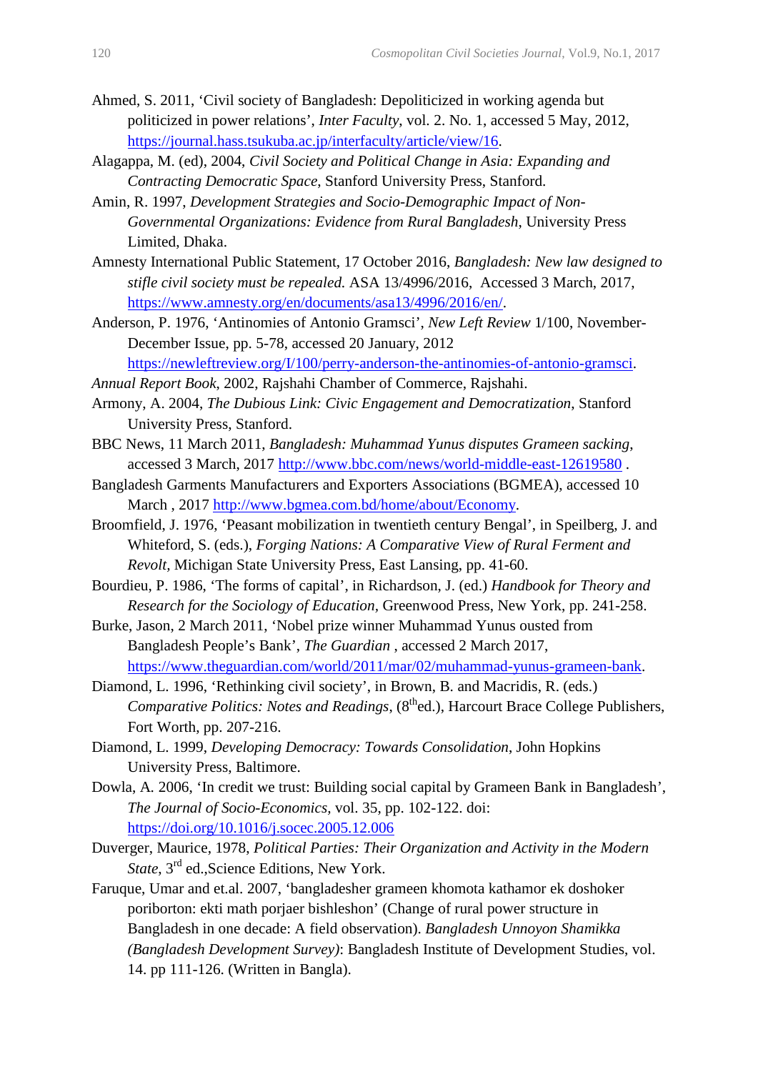- Ahmed, S. 2011, 'Civil society of Bangladesh: Depoliticized in working agenda but politicized in power relations', *Inter Faculty*, vol. 2. No. 1, accessed 5 May, 2012, [https://journal.hass.tsukuba.ac.jp/interfaculty/article/view/16.](https://journal.hass.tsukuba.ac.jp/interfaculty/article/view/16)
- Alagappa, M. (ed), 2004, *Civil Society and Political Change in Asia: Expanding and Contracting Democratic Space*, Stanford University Press, Stanford.
- Amin, R. 1997, *Development Strategies and Socio-Demographic Impact of Non-Governmental Organizations: Evidence from Rural Bangladesh*, University Press Limited, Dhaka.
- Amnesty International Public Statement, 17 October 2016, *Bangladesh: New law designed to stifle civil society must be repealed.* ASA 13/4996/2016, Accessed 3 March, 2017, [https://www.amnesty.org/en/documents/asa13/4996/2016/en/.](https://www.amnesty.org/en/documents/asa13/4996/2016/en/)
- Anderson, P. 1976, 'Antinomies of Antonio Gramsci', *New Left Review* 1/100, November-December Issue, pp. 5-78, accessed 20 January, 2012 [https://newleftreview.org/I/100/perry-anderson-the-antinomies-of-antonio-gramsci.](https://newleftreview.org/I/100/perry-anderson-the-antinomies-of-antonio-gramsci)
- *Annual Report Book*, 2002, Rajshahi Chamber of Commerce, Rajshahi.
- Armony, A. 2004, *The Dubious Link: Civic Engagement and Democratization*, Stanford University Press, Stanford.
- BBC News, 11 March 2011, *Bangladesh: Muhammad Yunus disputes Grameen sacking*, accessed 3 March, 2017<http://www.bbc.com/news/world-middle-east-12619580> .
- Bangladesh Garments Manufacturers and Exporters Associations (BGMEA), accessed 10 March , 2017 [http://www.bgmea.com.bd/home/about/Economy.](http://www.bgmea.com.bd/home/about/Economy)
- Broomfield, J. 1976, 'Peasant mobilization in twentieth century Bengal', in Speilberg, J. and Whiteford, S. (eds.), *Forging Nations: A Comparative View of Rural Ferment and Revolt,* Michigan State University Press, East Lansing, pp. 41-60.
- Bourdieu, P. 1986, 'The forms of capital', in Richardson, J. (ed.) *Handbook for Theory and Research for the Sociology of Education,* Greenwood Press, New York, pp. 241-258.
- Burke, Jason, 2 March 2011, 'Nobel prize winner Muhammad Yunus ousted from Bangladesh People's Bank', *The Guardian* , accessed 2 March 2017, [https://www.theguardian.com/world/2011/mar/02/muhammad-yunus-grameen-bank.](https://www.theguardian.com/world/2011/mar/02/muhammad-yunus-grameen-bank)
- Diamond, L. 1996, 'Rethinking civil society', in Brown, B. and Macridis, R. (eds.) *Comparative Politics: Notes and Readings*, (8<sup>th</sup>ed.), Harcourt Brace College Publishers, Fort Worth, pp. 207-216.
- Diamond, L. 1999, *Developing Democracy: Towards Consolidation*, John Hopkins University Press, Baltimore.
- Dowla, A*.* 2006, 'In credit we trust: Building social capital by Grameen Bank in Bangladesh', *The Journal of Socio-Economics,* vol. 35, pp. 102-122. doi: <https://doi.org/10.1016/j.socec.2005.12.006>
- Duverger, Maurice, 1978, *Political Parties: Their Organization and Activity in the Modern State*, 3<sup>rd</sup> ed., Science Editions, New York.
- Faruque, Umar and et.al. 2007, 'bangladesher grameen khomota kathamor ek doshoker poriborton: ekti math porjaer bishleshon' (Change of rural power structure in Bangladesh in one decade: A field observation). *Bangladesh Unnoyon Shamikka (Bangladesh Development Survey)*: Bangladesh Institute of Development Studies, vol. 14. pp 111-126. (Written in Bangla).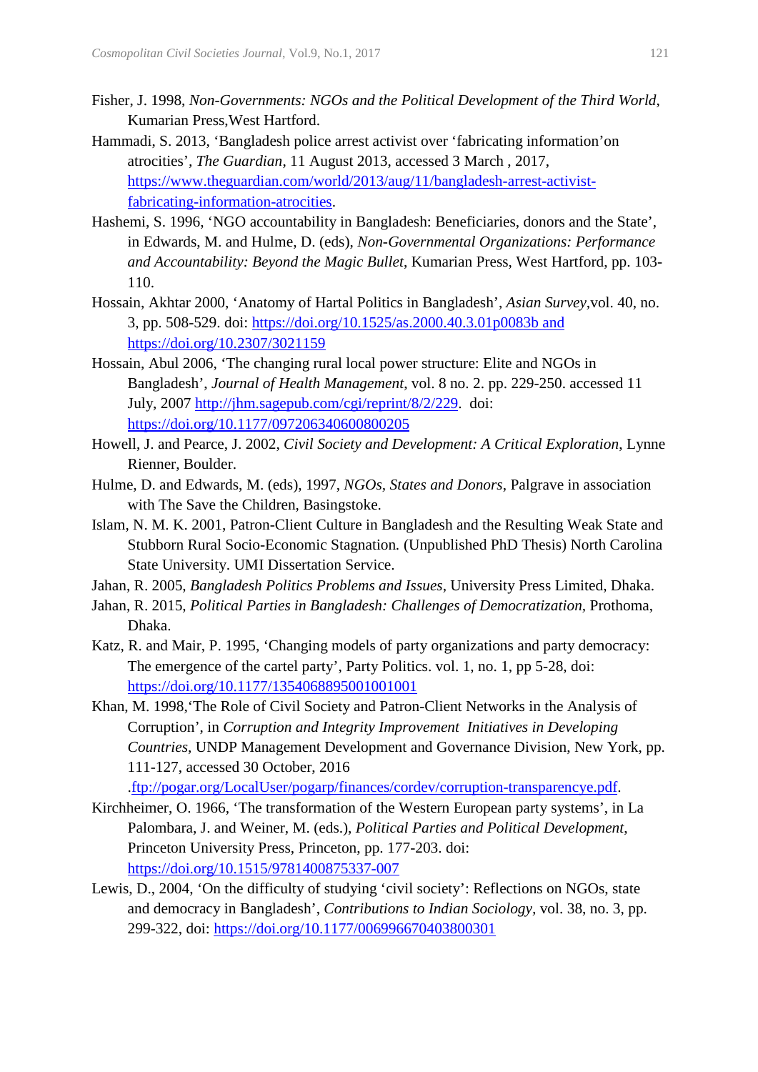- Fisher, J. 1998, *Non-Governments: NGOs and the Political Development of the Third World*, Kumarian Press,West Hartford.
- Hammadi, S. 2013, 'Bangladesh police arrest activist over 'fabricating information'on atrocities'*, The Guardian*, 11 August 2013, accessed 3 March , 2017, [https://www.theguardian.com/world/2013/aug/11/bangladesh-arrest-activist](https://www.theguardian.com/world/2013/aug/11/bangladesh-arrest-activist-fabricating-information-atrocities)[fabricating-information-atrocities.](https://www.theguardian.com/world/2013/aug/11/bangladesh-arrest-activist-fabricating-information-atrocities)
- Hashemi, S. 1996, 'NGO accountability in Bangladesh: Beneficiaries, donors and the State', in Edwards, M. and Hulme, D. (eds), *Non-Governmental Organizations: Performance and Accountability: Beyond the Magic Bullet*, Kumarian Press, West Hartford, pp. 103- 110.
- Hossain, Akhtar 2000, 'Anatomy of Hartal Politics in Bangladesh', *Asian Survey,*vol. 40, no. 3, pp. 508-529. doi:<https://doi.org/10.1525/as.2000.40.3.01p0083b> and <https://doi.org/10.2307/3021159>
- Hossain, Abul 2006, 'The changing rural local power structure: Elite and NGOs in Bangladesh', *Journal of Health Management*, vol. 8 no. 2. pp. 229-250. accessed 11 July, 2007 [http://jhm.sagepub.com/cgi/reprint/8/2/229.](http://jhm.sagepub.com/cgi/reprint/8/2/229) doi: <https://doi.org/10.1177/097206340600800205>
- Howell, J. and Pearce, J. 2002, *Civil Society and Development: A Critical Exploration*, Lynne Rienner, Boulder.
- Hulme, D. and Edwards, M. (eds), 1997, *NGOs, States and Donors*, Palgrave in association with The Save the Children, Basingstoke.
- Islam, N. M. K. 2001, Patron-Client Culture in Bangladesh and the Resulting Weak State and Stubborn Rural Socio-Economic Stagnation*.* (Unpublished PhD Thesis) North Carolina State University. UMI Dissertation Service.
- Jahan, R. 2005, *Bangladesh Politics Problems and Issues*, University Press Limited, Dhaka.
- Jahan, R. 2015, *Political Parties in Bangladesh: Challenges of Democratization,* Prothoma, Dhaka.
- Katz, R. and Mair, P. 1995, 'Changing models of party organizations and party democracy: The emergence of the cartel party', Party Politics. vol. 1, no. 1, pp 5-28, doi: <https://doi.org/10.1177/1354068895001001001>
- Khan, M. 1998,'The Role of Civil Society and Patron-Client Networks in the Analysis of Corruption', in *Corruption and Integrity Improvement Initiatives in Developing Countries*, UNDP Management Development and Governance Division, New York, pp. 111-127, accessed 30 October, 2016 [.ftp://pogar.org/LocalUser/pogarp/finances/cordev/corruption-transparencye.pdf.](ftp://pogar.org/LocalUser/pogarp/finances/cordev/corruption-transparencye.pdf)
- Kirchheimer, O. 1966, 'The transformation of the Western European party systems', in La Palombara, J. and Weiner, M. (eds.), *Political Parties and Political Development*, Princeton University Press, Princeton, pp. 177-203. doi: <https://doi.org/10.1515/9781400875337-007>
- Lewis, D., 2004, 'On the difficulty of studying 'civil society': Reflections on NGOs, state and democracy in Bangladesh', *Contributions to Indian Sociology,* vol. 38, no. 3, pp. 299-322, doi:<https://doi.org/10.1177/006996670403800301>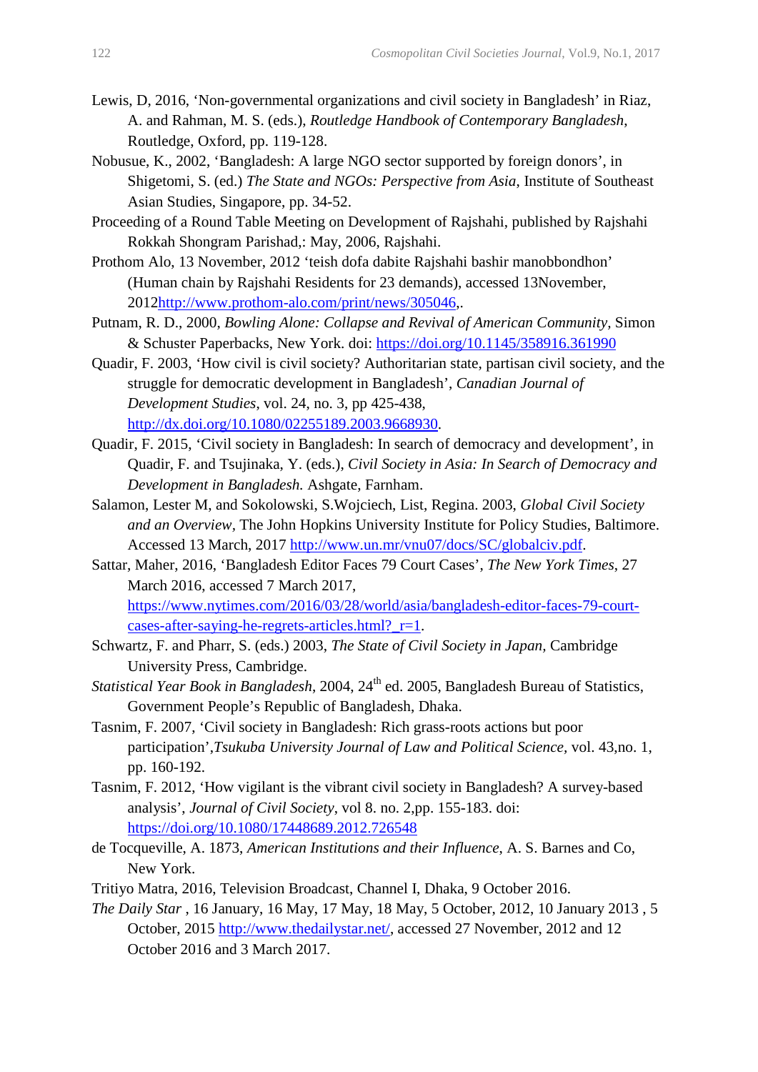- Lewis, D, 2016, 'Non-governmental organizations and civil society in Bangladesh' in Riaz, A. and Rahman, M. S. (eds.), *Routledge Handbook of Contemporary Bangladesh*, Routledge, Oxford, pp. 119-128.
- Nobusue, K., 2002, 'Bangladesh: A large NGO sector supported by foreign donors', in Shigetomi, S. (ed.) *The State and NGOs: Perspective from Asia*, Institute of Southeast Asian Studies, Singapore, pp. 34-52.
- Proceeding of a Round Table Meeting on Development of Rajshahi, published by Rajshahi Rokkah Shongram Parishad,: May, 2006, Rajshahi.
- Prothom Alo, 13 November, 2012 'teish dofa dabite Rajshahi bashir manobbondhon' (Human chain by Rajshahi Residents for 23 demands), accessed 13November, 201[2http://www.prothom-alo.com/print/news/305046,](http://www.prothom-alo.com/print/news/305046).
- Putnam, R. D., 2000, *Bowling Alone: Collapse and Revival of American Community,* Simon & Schuster Paperbacks, New York. doi:<https://doi.org/10.1145/358916.361990>
- Quadir, F. 2003, 'How civil is civil society? Authoritarian state, partisan civil society, and the struggle for democratic development in Bangladesh', *Canadian Journal of Development Studies*, vol. 24, no. 3, pp 425-438, [http://dx.doi.org/10.1080/02255189.2003.9668930.](http://dx.doi.org/10.1080/02255189.2003.9668930)
- Quadir, F. 2015, 'Civil society in Bangladesh: In search of democracy and development', in Quadir, F. and Tsujinaka, Y. (eds.), *Civil Society in Asia: In Search of Democracy and Development in Bangladesh.* Ashgate, Farnham.
- Salamon, Lester M, and Sokolowski, S.Wojciech, List, Regina. 2003, *Global Civil Society and an Overview,* The John Hopkins University Institute for Policy Studies, Baltimore. Accessed 13 March, 2017 [http://www.un.mr/vnu07/docs/SC/globalciv.pdf.](http://www.un.mr/vnu07/docs/SC/globalciv.pdf)
- Sattar, Maher, 2016, 'Bangladesh Editor Faces 79 Court Cases', *The New York Times*, 27 March 2016, accessed 7 March 2017, [https://www.nytimes.com/2016/03/28/world/asia/bangladesh-editor-faces-79-court](https://www.nytimes.com/2016/03/28/world/asia/bangladesh-editor-faces-79-court-cases-after-saying-he-regrets-articles.html?_r=1)[cases-after-saying-he-regrets-articles.html?\\_r=1.](https://www.nytimes.com/2016/03/28/world/asia/bangladesh-editor-faces-79-court-cases-after-saying-he-regrets-articles.html?_r=1)
- Schwartz, F. and Pharr, S. (eds.) 2003, *The State of Civil Society in Japan,* Cambridge University Press, Cambridge.
- *Statistical Year Book in Bangladesh*, 2004, 24<sup>th</sup> ed. 2005, Bangladesh Bureau of Statistics, Government People's Republic of Bangladesh, Dhaka.
- Tasnim, F. 2007, 'Civil society in Bangladesh: Rich grass-roots actions but poor participation',*Tsukuba University Journal of Law and Political Science,* vol. 43,no. 1, pp. 160-192.
- Tasnim, F. 2012, 'How vigilant is the vibrant civil society in Bangladesh? A survey-based analysis', *Journal of Civil Society*, vol 8. no. 2,pp. 155-183. doi: <https://doi.org/10.1080/17448689.2012.726548>
- de Tocqueville, A. 1873, *American Institutions and their Influence*, A. S. Barnes and Co, New York.
- Tritiyo Matra, 2016, Television Broadcast, Channel I, Dhaka, 9 October 2016.
- *The Daily Star* , 16 January, 16 May, 17 May, 18 May, 5 October, 2012, 10 January 2013 , 5 October, 2015 [http://www.thedailystar.net/,](http://www.thedailystar.net/) accessed 27 November, 2012 and 12 October 2016 and 3 March 2017.